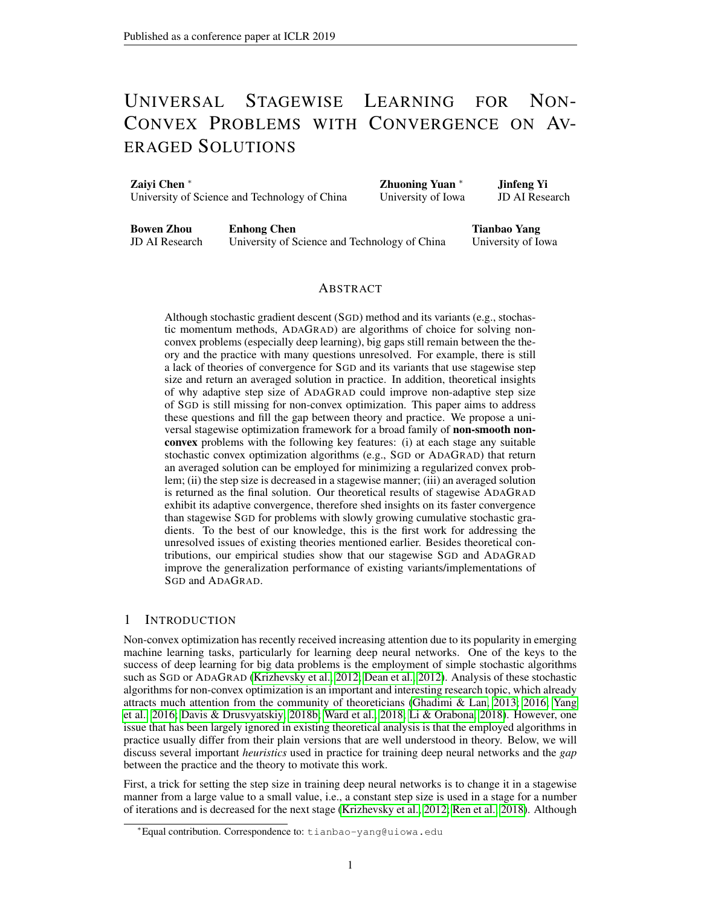# UNIVERSAL STAGEWISE LEARNING FOR NON-CONVEX PROBLEMS WITH CONVERGENCE ON AV-ERAGED SOLUTIONS

Zaiyi Chen <sup>∗</sup> University of Science and Technology of China Zhuoning Yuan <sup>∗</sup> University of Iowa Jinfeng Yi JD AI Research

Bowen Zhou JD AI Research Enhong Chen University of Science and Technology of China

Tianbao Yang University of Iowa

# ABSTRACT

Although stochastic gradient descent (SGD) method and its variants (e.g., stochastic momentum methods, ADAGRAD) are algorithms of choice for solving nonconvex problems (especially deep learning), big gaps still remain between the theory and the practice with many questions unresolved. For example, there is still a lack of theories of convergence for SGD and its variants that use stagewise step size and return an averaged solution in practice. In addition, theoretical insights of why adaptive step size of ADAGRAD could improve non-adaptive step size of SGD is still missing for non-convex optimization. This paper aims to address these questions and fill the gap between theory and practice. We propose a universal stagewise optimization framework for a broad family of non-smooth nonconvex problems with the following key features: (i) at each stage any suitable stochastic convex optimization algorithms (e.g., SGD or ADAGRAD) that return an averaged solution can be employed for minimizing a regularized convex problem; (ii) the step size is decreased in a stagewise manner; (iii) an averaged solution is returned as the final solution. Our theoretical results of stagewise ADAGRAD exhibit its adaptive convergence, therefore shed insights on its faster convergence than stagewise SGD for problems with slowly growing cumulative stochastic gradients. To the best of our knowledge, this is the first work for addressing the unresolved issues of existing theories mentioned earlier. Besides theoretical contributions, our empirical studies show that our stagewise SGD and ADAGRAD improve the generalization performance of existing variants/implementations of SGD and ADAGRAD.

## 1 INTRODUCTION

Non-convex optimization has recently received increasing attention due to its popularity in emerging machine learning tasks, particularly for learning deep neural networks. One of the keys to the success of deep learning for big data problems is the employment of simple stochastic algorithms such as SGD or ADAGRAD [\(Krizhevsky et al., 2012;](#page-10-0) [Dean et al., 2012\)](#page-9-0). Analysis of these stochastic algorithms for non-convex optimization is an important and interesting research topic, which already attracts much attention from the community of theoreticians [\(Ghadimi & Lan, 2013;](#page-9-1) [2016;](#page-9-2) [Yang](#page-10-1) [et al., 2016;](#page-10-1) [Davis & Drusvyatskiy, 2018b;](#page-9-3) [Ward et al., 2018;](#page-10-2) [Li & Orabona, 2018\)](#page-10-3). However, one issue that has been largely ignored in existing theoretical analysis is that the employed algorithms in practice usually differ from their plain versions that are well understood in theory. Below, we will discuss several important *heuristics* used in practice for training deep neural networks and the *gap* between the practice and the theory to motivate this work.

First, a trick for setting the step size in training deep neural networks is to change it in a stagewise manner from a large value to a small value, i.e., a constant step size is used in a stage for a number of iterations and is decreased for the next stage [\(Krizhevsky et al., 2012;](#page-10-0) [Ren et al., 2018\)](#page-10-4). Although

<sup>∗</sup>Equal contribution. Correspondence to: tianbao-yang@uiowa.edu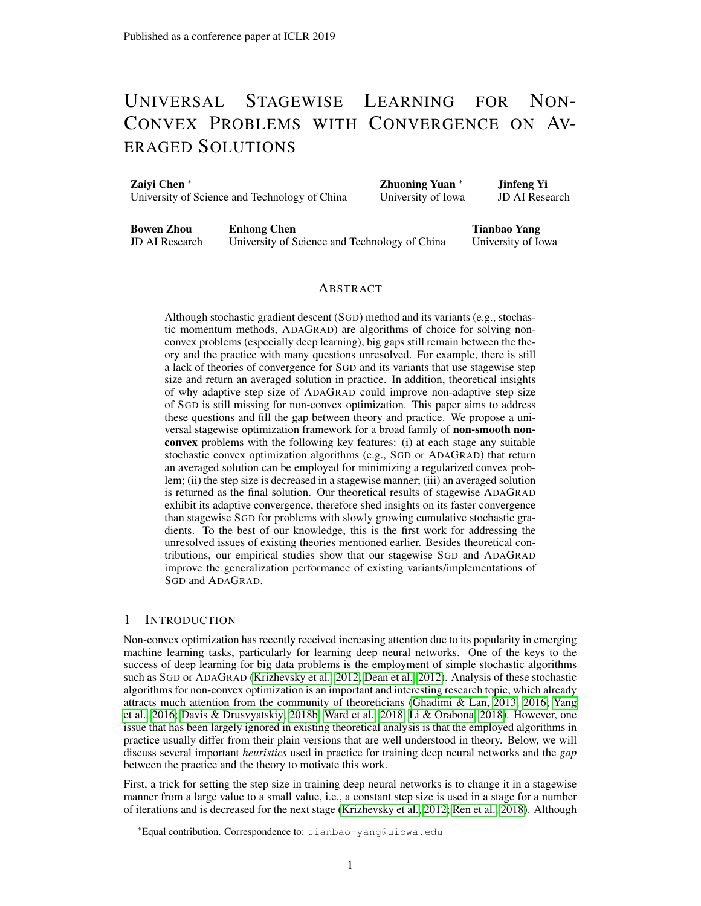this trick has been adopted by most open-sourced libraries, e.g., Caffe [\(Jia et al., 2014\)](#page-10-5), Tensor-Flow [\(Abadi et al., 2015\)](#page-8-0), Pytorch [\(Paszke et al., 2017\)](#page-10-6), it still lacks theoretical analysis to date for non-convex optimization. A related question that stands out is how and when to decrease the step size. On standard benchmark datasets for academic use such as CIFAR-10, CIFAR-100 [\(Krizhevsky](#page-10-7) [et al.\)](#page-10-7), people could follow the setting reported in previous studies to get a good result, which however might not work well for new datasets. Hence, a better solution to setting the stagewise step size with insights from theory would be much preferred. However, in the existing literature of theory for non-convex optimization [\(Ghadimi & Lan, 2013;](#page-9-1) [Davis & Drusvyatskiy, 2018b\)](#page-9-3), only strategies based on an iteratively decreasing step size or a small constant step size have been well analyzed. For example, the existing theory usually suggests an iteratively decreasing step size proportional to  $1 = \overline{t}$  at the t-th iteration or a small constant step size, e.g., proportional to  $\overline{t}$  with 1 for finding an -stationary solution whose gradient's magnitude (in expectation) is small than .

Second, the averaging heuristic is usually used in practice, i.e., an averaged solution is returned for prediction [\(Bottou, 2010\)](#page-9-4), which could yield improved stability and generalization [\(Hardt et al.,](#page-9-5) [2016\)](#page-9-5). However, existing theory for many stochastic non-convex optimization algorithms only provides guarantee on a uniformly sampled solution or a non-uniformly sampled solution with *decreasing* probabilities for latest solutions [\(Ghadimi & Lan, 2013;](#page-9-1) [Yang et al., 2016;](#page-10-1) [Davis & Drusvyatskiy,](#page-9-3) [2018b\)](#page-9-3). In particular, if an iteratively decreasing step size proportional to  $1 = \int t^2 t \, dt$  the t-th iteration is employed, the convergence guarantee was provided for a random solution that is non-uniformly selected from all iterates with a sampling probability proportional to  $1 = \int_0^{\infty} t$  for the t-th iterate. This means that the latest solution always has the smallest probability to be selected as the final solution, which contradicts to the common wisdom. If a small constant step size is used, then usually a uniformly sampled solution is provided with convergence guarantee. However, both options are rarely used in practice and cannot justify the heuristic that returns the last solution.

A third common approach in practice is to use adaptive coordinate-wise step size of ADA-GRAD [\(Dean et al., 2012\)](#page-9-0). Although adaptive step size has been well analyzed for convex problems (e.g., why and when it could yield faster convergence than SGD) [\(Duchi et al., 2011;](#page-9-6) [Chen et al.,](#page-9-7) [2018b\)](#page-9-7), it still remains an mystery for non-convex optimization with missing insights from theory. Several recent studies have attempted to analyze ADAGRAD for non-convex problems [\(Ward et al.,](#page-10-2) [2018;](#page-10-2) [Li & Orabona, 2018;](#page-10-3) [Chen et al., 2018a;](#page-9-8) [Zou & Shen, 2018\)](#page-11-0). Nonetheless, none of them are able to exhibit the adaptive convergence of ADAGRAD to data as in the convex case and its potential advantage over SGD for non-convex problems.

To overcome the shortcomings of existing theories for stochastic non-convex optimization, this paper analyzes new algorithms that employ some or all of these commonly used heuristics in a systematic framework, aiming to fill the gap between theory and practice. The main results and contributions are summarized below:

We propose a universal stagewise optimization framework for solving a family of non-convex problems, i.e., weakly convex problems, which is broader than smooth non-convex problems and includes some non-smooth non-convex problems. At each stage, any suitable stochastic convex optimization algorithms (e.g., SGD, ADAGRAD) with a constant step size parameter can be employed for optimizing a regularized convex problem with a number of iterations, which usually return an averaged solution. The step size parameter is decreased in a stagewise manner following a polynomial decaying scheme.

We analyze several variants of the proposed framework by employing different basic algorithms, including SGD, ADAGRAD, stochastic heavy-ball (SHB) method, and stochastic Nesterov's accelerated gradient (SNAG) method. We prove the convergence of their stagewise versions for an averaged solution that is randomly selected from all stagewise averaged solutions.

To justify a heuristic approach that returns the last averaged solution in stagewise learning, we present and analyze a non-uniform sampling strategy over stagewise averaged solutions with sampling probabilities increasing as the stage number.

Regarding the convergence results, for stagewise SGD, SHB, SNAG, we establish the same order of iteration complexity for finding a nearly stationary point as the existing theories of their nonstagewise variants. For stagewise ADAGRAD, we establish an adaptive convergence for finding a nearly stationary point, which is provably better than (stagewise) SGD, SHB, and SNAG when the cumulative growth of stochastic gradient is slow.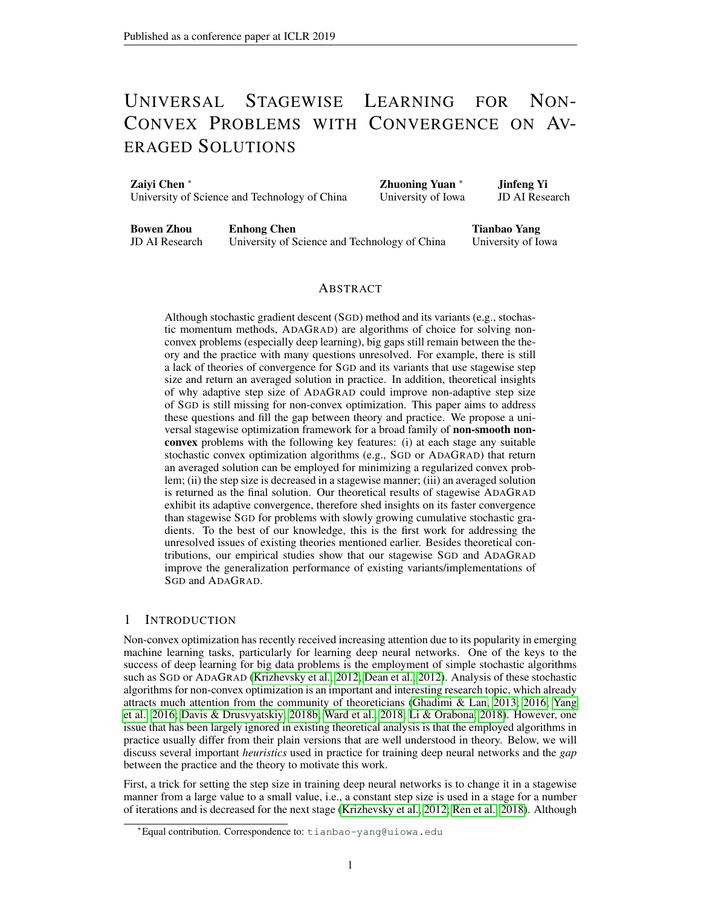Besides theoretical contributions, we also empirically verify the effectiveness of the proposed stagewise algorithms. In particular, our empirical studies show that (i) the stagewise ADAGRAD dramatically improves the generalization performance of existing variants of ADAGRAD, (ii) stagewise SGD, SHB, SNAG also outperform their plain variants with an iteratively decreasing step size; (iii) the proposed stagewise algorithms achieve similar if not better generalization performance than their heuristic variants implemented in existing libraries on standard benchmark datasets.

## 2 RELATED WORK

SGD for unconstrained smooth non-convex problems was first analyzed by [Ghadimi & Lan](#page-9-1) [\(2013\)](#page-9-1), who established an  $O(1 - 4)$  iteration complexity for finding an -stationary point x in expectation satisfying  $E[krf(x)k]$ , where  $f()$  denotes the objective function. As mentioned earlier, the returned solution is either a uniformly sampled solution or a non-uniformly sampled one with sampling probabilities proportional to the decreasing step size. Similar results were established for the stochastic momentum variants of SGD (i.e., SHB, SNAG) by [Yang et al.](#page-10-1) [\(2016\)](#page-10-1); [Ghadimi & Lan](#page-9-2) [\(2016\)](#page-9-2). Recently, SGD was also analyzed for (constrained) weakly convex problems, whose objective function is non-convex and not necessarily smooth, by [Davis & Drusvyatskiy](#page-9-3) [\(2018b\)](#page-9-3). However, none of these studies provide results for algorithms that return an averaged solution, and these analyzed algorithms differ significantly from that used in practice for achiving the state-of-the-art results [\(Krizhevsky et al., 2012;](#page-10-0) [Ren et al., 2018;](#page-10-4) [Loshchilov & Hutter, 2017\)](#page-10-8).

Although adaptive variants of SGD, e.g., ADAGRAD [\(Duchi et al., 2011\)](#page-9-6), ADAM [\(Kingma & Ba,](#page-10-9) [2015;](#page-10-9) [Reddi et al., 2018\)](#page-10-10), were widely used for training deep neural networks, there are few studies on theoretical analysis of these algorithms for non-convex problems. Several recent studies attempted to analyze ADAGRAD for non-convex problems [\(Ward et al., 2018;](#page-10-2) [Li & Orabona, 2018;](#page-10-3) [Chen et al., 2018a;](#page-9-8) [Zou & Shen, 2018\)](#page-11-0). Although these studies have established an iteration complexity of  $O(1 = 4)$  for different variants of ADAGRAD for finding an -stationary solution of a stochastic non-convex optimization problem, none of them can exhibit the potential adaptive advantage of ADAGRAD over SGD as in the convex case. Besides that, these studies also suffer from the following shortcomings: (i) they all assume smoothness of the objective function, while we consider non-smooth and non-convex problems; (ii) their convergence is provided on a solution with minimum magnitude of gradient that is expensive to compute, though their results also imply a convergence on a random solution selected from all iterates with decreasing sampling probabilities. In contrast, these shortcomings do not exist in this paper. To the best of our knowledge, our result is the first one that explicitly shows that coordinate-wise adaptive step size could yield faster convergence than using non-adaptive step size for *non-smooth non-convex problems*, which is similar to that in the convex case and was observed in practice for deep learning [\(Dean et al., 2012\)](#page-9-0).

The proposed stagewise algorithm is similar to several existing algorithms in design [\(Xu et al.,](#page-10-11) [2017;](#page-10-11) [Davis & Grimmer, 2017\)](#page-9-9), which are originated from the proximal point algorithm [\(Rock](#page-10-12)[afellar, 1976\)](#page-10-12). I.e., at each stage a regularized convex subproblem is formed and then a stochastic algorithm is employed for optimizing the regularized subproblem inexactly with a number of iterations. [Xu et al.](#page-10-11) [\(2017\)](#page-10-11) used this idea for solving problems that satisfy a local error bound condition, aiming to achieve faster convergence than vanilla SGD. [Davis & Grimmer](#page-9-9) [\(2017\)](#page-9-9) are probably the first who analyzed this idea for solving non-smooth weakly convex problems. In these two papers SGD with decreasing step sizes for a strongly convex problem is employed at each stage for solving the regularized subproblem. Our stagewise algorithm is developed following the similar idea. The key differences from [\(Xu et al., 2017;](#page-10-11) [Davis & Grimmer, 2017\)](#page-9-9) are that (i) we focus on non-convex problems instead of convex problems considered in [\(Xu et al., 2017\)](#page-10-11); (ii) we analyze a non-uniform sampling strategy with sampling probabilities increasing as the stage number to justify a heuristic approach that uses the last averaged solution for prediction, unlike the uniform sampling used in [\(Davis & Grimmer, 2017\)](#page-9-9); (iii) we present a unified algorithmic framework and convergence analysis, which enable one to employ any suitable stochastic convex optimization algorithms at each stage. Importantly, it brings us several interesting variants including stagewise stochastic momentum methods and stagewise ADAGRAD. Finally, we note that a similar idea that adds a strongly convex term into the non-convex objective has been considered in several recent works [\(Allen-Zhu, 2017;](#page-9-10) [Lan & Yang, 2018;](#page-10-13) [Carmon et al., 2016\)](#page-9-11). However, the key difference between these works and the present work is that they need to assume the objective function is smooth or has a smooth component. In addition, [Allen-Zhu](#page-9-10) [\(2017\)](#page-9-10); [Lan & Yang](#page-10-13) [\(2018\)](#page-10-13) consider finite-sum problems, and [Carmon et al.](#page-9-11)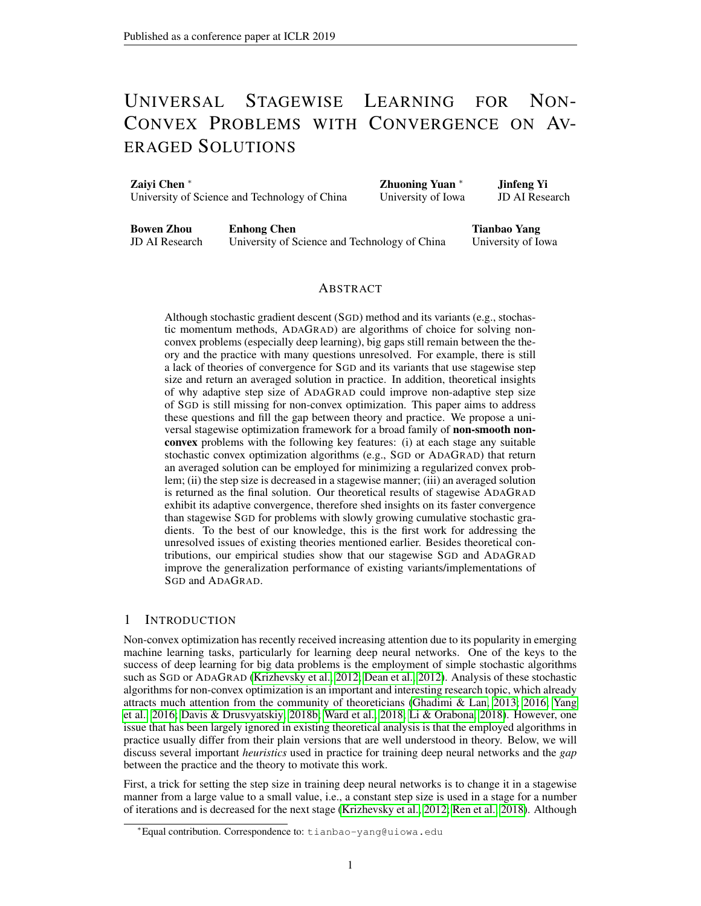[\(2016\)](#page-9-11) consider deterministic problems. In contrast, we consider more general stochastic problems without assuming the objective function is smooth.

#### 3 PRELIMINARIES

The problem of interest in this paper is:

<span id="page-3-0"></span>
$$
\min_{\mathbf{x} \in \mathbb{R}} \quad (\mathbf{x}) = \mathbb{E} \left[ (\mathbf{x}; \cdot) \right] \tag{1}
$$

where  $\sigma$  is a closed convex set, 2 U is a random variable, (x) and (x; ) are non-convex functions, with the basic assumptions on the problem given in Assumption [1.](#page-4-0)

To state the convergence property of an algorithm for solving the above problem. We need to introduce some definitions. These definitions can be also found in related literature, e.g., [Davis &](#page-9-9) [Grimmer](#page-9-9) [\(2017\)](#page-9-9); [Davis & Drusvyatskiy](#page-9-3) [\(2018b\)](#page-9-3). In the sequel, we let  $k \, k$  denote an Euclidean norm,  $[S] = \{1; \ldots; Sg \}$  denote a set, and () denote the indicator function of the set .

**Definition 1.** *(Fréchet subgradient) For a non-smooth and non-convex function*  $f( )$ *,* 

$$
\mathcal{Q}_F f(\mathbf{x}) = f \mathbf{v} \; 2 \; \mathbb{R}^d f(\mathbf{y}) \quad f(x) + \mathbf{v}^\top (\mathbf{y} \quad \mathbf{x}) + o(k\mathbf{y} \quad \mathbf{x}k); \; \delta \mathbf{y} \; 2 \; \mathbb{R}^d g
$$

*denotes the Fréchet subgradient of*  $f$ .

Definition 2. *(First-order stationarity) For problem [\(1\)](#page-3-0), a point* x 2 *is a first-order stationary point if*  $0 \n\supseteq e_F$  ( + )(x)*, where denotes the indicator function of . Moreover, a point* x *is said to be -stationary if dist*(0;  $\mathcal{C}_F$ ( + )(x)) , where dist denotes the Euclidean distance *from a point to a set.*

**Definition 3.** *(Moreau Envelope and Proximal Mapping) For any function*  $\bar{f}$  *and*  $> 0$ *, the following function is called a Moreau envelope of* f

<span id="page-3-2"></span>
$$
f(\mathbf{x}) = \min_{\mathbf{z}} f(\mathbf{z}) + \frac{1}{2} k \mathbf{z} - \mathbf{x} k^2.
$$
 (2)

*Further, the optimal solution to the above problem denoted by*

$$
prox_{f}(\mathbf{x}) = arg \min_{\mathbf{z}} f(\mathbf{z}) + \frac{1}{2} k \mathbf{z} \quad \mathbf{x} k^2
$$

*is called a proximal mapping of* f*.*

**Definition 4.** *(Weakly convex) A function*  $f$  *is -weakly convex (* > 0*), if*  $f(\mathbf{x}) + \frac{1}{2}k\mathbf{x}k^2$  *is convex.* It is known that if  $f(x)$  is -weakly convex and  $\epsilon$   $^{-1}$ , then its Moreau envelope  $f(x)$  is  $C<sup>1</sup>$ -smooth with the gradient given by (see e.g., [Davis & Drusvyatskiy](#page-9-3) [\(2018b\)](#page-9-3))

<span id="page-3-1"></span>
$$
\int f(x) = \int_{0}^{-1} (x - \text{prox}_{f}(x))
$$

The tool of Moreau envelope is introduced to measure the convergence for optimizing non-smooth and non-convex functions. A small norm of  $\Gamma f$  (x) has an interpretation that x is close to a point that is nearly stationary. In particular for any  $x \n\supseteq \mathbb{R}^d$ , let  $\mathbf{k} = \text{prox}_{f}(x)$ , then we have [\(Davis &](#page-9-3) Drusyvatskiy 2018b) [Drusvyatskiy, 2018b\)](#page-9-3)

$$
f(\mathbf{k}) \quad f(\mathbf{x}); \quad k\mathbf{x} \quad \mathbf{k}k = k\mathbf{f} \quad (\mathbf{x})k; \quad \text{dist}(0, \mathcal{Q}f(\mathbf{k})) \quad k\mathbf{f} \quad (\mathbf{x})k; \tag{3}
$$

where the first inequality follows from the definition of prox  $f(x)$  such that  $f'(x) + \frac{1}{2}kx + xk^2$ <br> $f(x)$  (Places see Amondiu II for a detailed proof of (2)). This means that a point as estightive  $f(x)$  (Please see Appendix H for a detailed proof of [\(3\)](#page-3-1)). This means that a point x satisfying  $k f(x)$  is close to a point in distance of  $O($  ) that is -stationary.

It is notable that for a non-smooth function  $f( )$ , there could exist a sequence of solutions  $f\mathbf{x}_k g$ such that  $\Gamma f$  ( $\mathbf{x}_k$ ) converges while dist(0;  $\mathcal{E}f(\mathbf{x}_k)$ ) may not converge [\(Drusvyatskiy & Paquette,](#page-9-12) [2018\)](#page-9-12). A simple example is to consider min<sub>x∈R</sub> jxj. As long as  $x \notin 0$ , dist $(0, \text{erf}(x)) = 1 \notin 0$  no matter how close is  $x$  to the stationary point 0. To handle such a challenging issue for non-smooth non-convex problems, we will follow existing works [\(Davis & Drusvyatskiy, 2018a;](#page-9-13) [Drusvyatskiy](#page-9-12) [& Paquette, 2018;](#page-9-12) [Davis & Grimmer, 2017\)](#page-9-9) to prove the near stationarity in terms of  $\Gamma f(\mathbf{x})$ . In the case when f is smooth,  $k f(x)$  is closely related to the magnitude of the gradient. In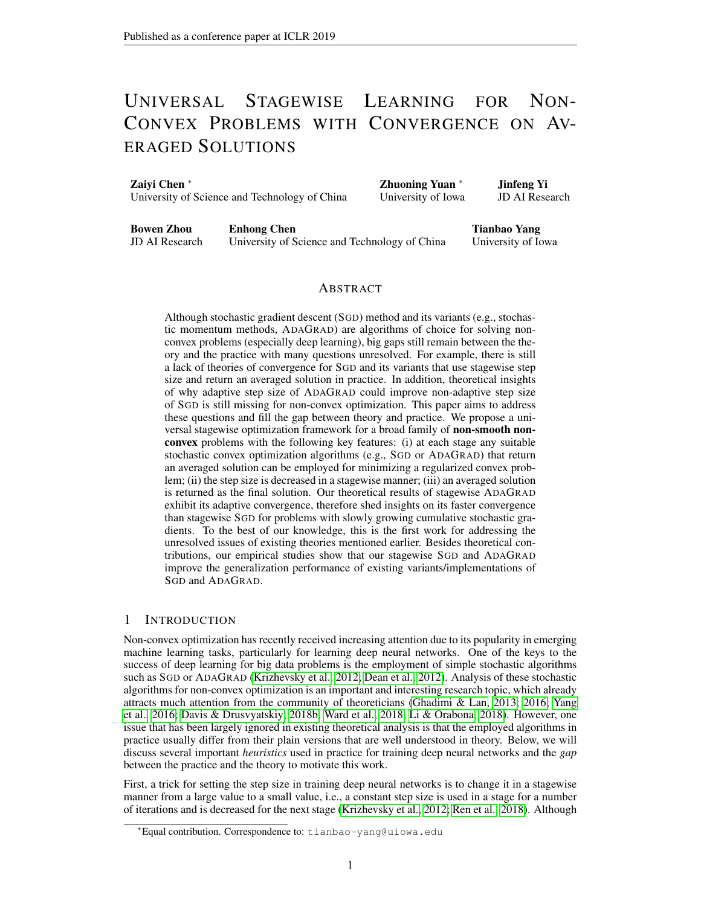particular, let us define the projected gradient below, which is used as a criterion for non-convex smooth optimization in the presence of constraints [\(Ghadimi & Lan, 2016;](#page-9-2) [Allen-Zhu, 2017\)](#page-9-10):

$$
G(\mathbf{x}) = -\frac{1}{2}(\mathbf{x} - \text{prox} (\mathbf{x} - \mathcal{F}f(\mathbf{x})))
$$
 (4)

Note that the projected gradient becomes the normal gradient when the constraint  $x \, 2$  is absent. It was shown that when  $f()$  is smooth with *L*-Lipschitz continuous gradient [\(Drusvyatskiy & Lewis,](#page-9-14) [2016\)](#page-9-14):

$$
(1 L) kG (x) k k r f (x) k (1 + L) kG (x) k; 8x 2 :
$$
 (5)

Thus, the near stationarity in terms of  $\Gamma f(\mathbf{x})$  implies the near stationarity in terms of  $G(\mathbf{x})$  for a smooth function  $f()$  for a properly chosen  $\geq 0$  (e.g.,  $= 1 = (2L)$ ). In this work, we define  $(x)$ as the Moreau envelope of  $(x) + (x)$  as in [\(2\)](#page-3-2) with  $f(x)$  replaced by  $(x) + (x)$  and study the convergence in terms of of  $r - (\mathbf{x})$ .

Now, we are ready to state the basic assumptions of the considered problem [\(1\)](#page-3-0).

<span id="page-4-0"></span>Assumption 1. *(i) There is a measurable mapping* g : U ! R such that  $E[g(x; )] \supseteq e_F(x)$ *for any*  $x \geq 2$  *; (ii) for any*  $x \geq 2$  *,*  $E[kg(x; )k^2]$ ] G<sup>2</sup> *; (iii) there exists* > 0 *such that* (x) min<sub>z∈</sub> (z) *for any*  $x$  2 *; (iv) the objective function is* -weakly convex;

Remark: Assumption [1\(](#page-4-0)i), (ii) assume a stochastic subgradient is available for the objective function and its Euclidean norm square is bounded in expectation, which are standard assumptions for non-smooth optimization. Assumption [1\(](#page-4-0)iii) assumes that the objective value with respect to the optimal value is bounded. Assumption [1\(](#page-4-0)iv) assumes weak convexity of the objective function, which is weaker than assuming smoothness. Below, we present some examples of objective functions in machine learning that are weakly convex.

**Ex. 1: Smooth Non-Convex Functions.** If ( ) is a L-smooth function (i.e., its gradient is  $L$ -Lipschitz continuous), then it is  $L$ -weakly convex. This will include the objective function for neural networks with a smooth activation function (e.g., the sigmoid function) and a smooth loss function (e.g., softmax loss).

**Ex. 2: Convex and Smooth Composition.** Consider  $(x_i) = h(c(x_i))$  where  $h() : \mathbb{R}^m \cap \mathbb{R}$  is closed convex and M-Lipschitz continuous, and  $c(\mathbf{x})$ :  $\mathbb{R}^d$  /  $\mathbb{R}^m$  is nonlinear smooth mapping with L-Lipschitz continuous gradient. This class of functions has been considered in [\(Drusvyatskiy](#page-9-12) [& Paquette, 2018\)](#page-9-12) and it was proved that  $(x_i)$  is ML-weakly convex. An interesting example is phase retrieval, where  $(x; a, b) = f(x^T a)^2$  bj. Another example related to deep learning is that if  $c(\mathbf{x})$  denotes the mapping function of a neural network parameterized by x with a smooth activation function and  $h$  denotes a non-smooth Lipschitz continuous convex loss function (e.g., hinge loss), then the resulting loss  $h(c(x;))$  is a weakly convex function of x. More examples of this class can be found in [\(Davis & Drusvyatskiy, 2018a\)](#page-9-13).

#### 4 STAGEWISE OPTIMIZATION: ALGORITHMS AND CONVERGENCE

In this section, we will present the proposed stagewise algorithms and their convergence results. We will first present a Meta algorithmic framework highlighting the key features of the proposed algorithms and then present several variants of the Meta algorithm.

The Meta algorithmic framework is described in Algorithm [1.](#page-5-0) There are several key features that differentiate Algorithm [1](#page-5-0) from existing stochastic algorithms that come with theoretical guarantee. First, the algorithm is run with multiple stages. At each stage, a basic stochastic algorithm (SA) is called to optimize a regularized problem  $f_s(\mathbf{x})$  inexactly that consists of the original objective function and a quadratic term, which is guaranteed to be convex due to the weak convexity of and  $\epsilon$  <sup>-1</sup>. The convexity of  $f_s$  allows one to employ any suitable existing stochastic algorithms (cf. Theorem [1\)](#page-5-1) that have convergence guarantee for convex problems. The returned solution from the  $(s \t-1)$ -th stage is used as a reference point for constructing  $f_s$  and as an initial solution for warm-start. It is notable that SA usually returns an averaged solution  $x<sub>s</sub>$  at each stage. Second, a decreasing sequence of step size parameters  $\overline{s}$  is used. At each stage, the SA uses a constant step size parameter  $\varsigma$  and runs the updates for a number of  $T_{\varsigma}$  iterations. We do not initialize  $T_{\varsigma}$  as it might be adaptive to the data as in stagewise ADAGRAD. The setup of  $\,$  s and  $\,$  T<sub>s</sub> will depend on the specific choice of SA, which will be exhibited later for different variants.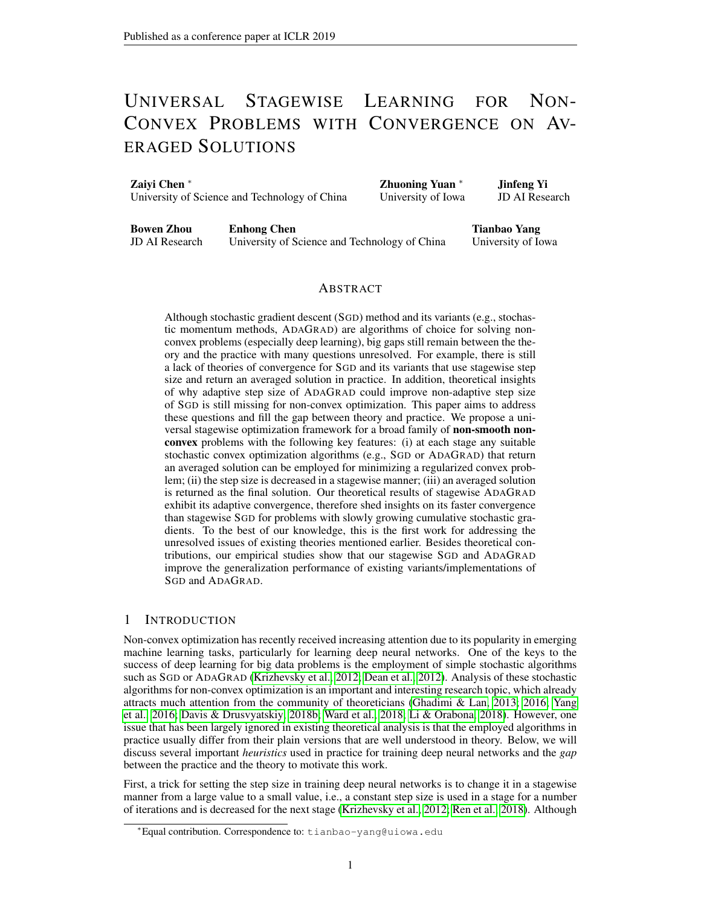|  |  | Algorithm 1 A Meta Stagewise Algorithm: Stagewise-SA |
|--|--|------------------------------------------------------|
|  |  |                                                      |

<span id="page-5-0"></span>1: **Initialize:** a sequence of decreasing step size parameters  $f_{s}g$ ,  $x_{0}$  2, 2: for  $s = 1$ ; :::;  $S$  do 3: Let  $f_s() = () + \frac{1}{2}k$   $\mathbf{x}_{s-1}k^2$ 4:  $\mathbf{x}_s = S A(f_s; \mathbf{x}_{s-1}; s; T_s)$   $\mathbf{x}_s$  is usually an averaged solution 5: end for

To illustrate that Algorithm [1](#page-5-0) is a universal framework such that any suitable SA algorithm can be employed, we present the following result by assuming that SA has an appropriate convergence for a convex problem.

<span id="page-5-1"></span>**Theorem 1.** Let  $f()$  be a convex function,  $x_* = \arg \min_{x \in f(x)} \{f(x)}\}$  and *denote some problem dependent constants. Suppose for*  $\mathbf{x}_{+} = SA(f(\mathbf{x}_0; \cdot, \overline{T}))$ *, we have* 

$$
E[f(\mathbf{x}_{+}) - f(\mathbf{x}_{*})] - \binom{n}{1} \cdot \binom{n}{2} \cdot \mathbf{x}_{0} - \mathbf{x}_{*} \cdot \frac{k_{2}^{2} + \binom{n}{2} \cdot \binom{n}{2}}{\binom{n}{2} \cdot \binom{n}{3}} \cdot f(\mathbf{x}_{*}) + \binom{n}{3} \cdot \binom{n}{2} \cdot \binom{n}{4}
$$

*Under Assumption [1\(](#page-4-0)i), (iii) and (iv), by running Algorithm [1](#page-5-0) with*  $= 1 = (2)$ , and with s;  $T_s$ *satisfying*  $\binom{n}{1}$  (*s*;  $T_s$ ; ) 1=(48 );  $\binom{n}{2}$  (*s*;  $T_s$ ; ) 1=2;  $\binom{n}{3}$  (*s*;  $T_s$ ; ) c<sub>3</sub>=s *for some* c<sub>3</sub> > 0*, we have*

<span id="page-5-2"></span>
$$
E k r (x) k2 \frac{32}{(S+1)} + \frac{48c_3(-1)}{(S+1)};
$$

*where is randomly selected from*  $f0$ *:::: ; Sq with probabilities*  $p \ / (- + 1)$  *;* 1*.* 

Remark: It is notable that the convergence guarantee is provided on a stagewise average solution x . To justify a heuristic approach that returns the final average solution for prediction, we analyze a new sampling strategy that samples a solution among all stagewise average solutions with sampling probabilities increasing as the stage number increases. This sampling strategy is better than uniform sampling strategy or a strategy with decreasing sampling probabilities in the existing literature. The convergence upper bound in [\(6\)](#page-5-2) of SA covers the results of a broad family of stochastic convex optimization algorithms. When "<sub>2</sub>( $s$ ;  $T_s$ ; ) = 0 (as in SGD), the upper bound can be improved by a constant factor. Moreover, we do not optimize the value of . Indeed, any  $\langle 1 = \text{will work},$ which only has an effect on constant factor in the convergence upper bound.

Next, we present several variants of the Meta algorithm by employing SGD, ADAGRAD, and stochastic momentum methods as the basic SA algorithm, to which we refer as stagewise SGD, stagewise ADAGRAD, and stagewise stochastic momentum methods, respectively. It is worth mentioning that one can follow similar analysis to analyze other stagewise algorithms by using their basic convergence for stochastic convex optimization, including RMSProp [\(Mukkamala &](#page-10-14) [Hein, 2017\)](#page-10-14), AMSGrad [\(Reddi et al., 2018\)](#page-10-10), stochastic alternating direction methods of multipliers (ADMM) [\(Ouyang et al., 2013;](#page-10-15) [Suzuki, 2013\)](#page-10-16).

#### 4.1 STAGEWISE SGD

In this subsection, we analyze the convergence of stagewise SGD, in which SGD shown in Algorithm [3](#page-12-0) in the Appendix is employed in the Meta framework. Besides Assumption [1,](#page-4-0) we impose the following bounded domain assumption in this subsection.

#### <span id="page-5-3"></span>**Assumption 2.** *There exists*  $D > 0$  *such that*  $kx \, yk \, D$  *for any*  $x/y \, 2$ .

It is worth mentioning that bounded domain assumption is imposed for simplicity, which is usually assumed in convex optimization. For machine learning problems, one usually imposes some bounded norm constraint to achieve a regularization. Nevertheless, the bounded domain assumption is not essential for the proposed algorithm. We present a more involved analysis in subsection 4.3 for unbounded domain  $= \mathbb{R}^d$ . The following is a standard basic convergence result of SGD [\(Zinke](#page-11-1)[vich, 2003\)](#page-11-1), which clearly satisfies the bound in [\(6\)](#page-5-2).

<span id="page-5-4"></span>**Lemma 1.** For Algorithm [3,](#page-12-0) assume that  $f()$  is convex and  $Ekg_t k^2$   $G^2/8t$ , then for any  $x \n2$ 

$$
E[f(\mathbf{k}_T) \quad f(\mathbf{x})] \quad \frac{k\mathbf{x} \quad \mathbf{x}_0 k^2}{2\left(T+1\right)} + \frac{G^2}{2}
$$

The following theorem exhibits the convergence of stagewise SGD.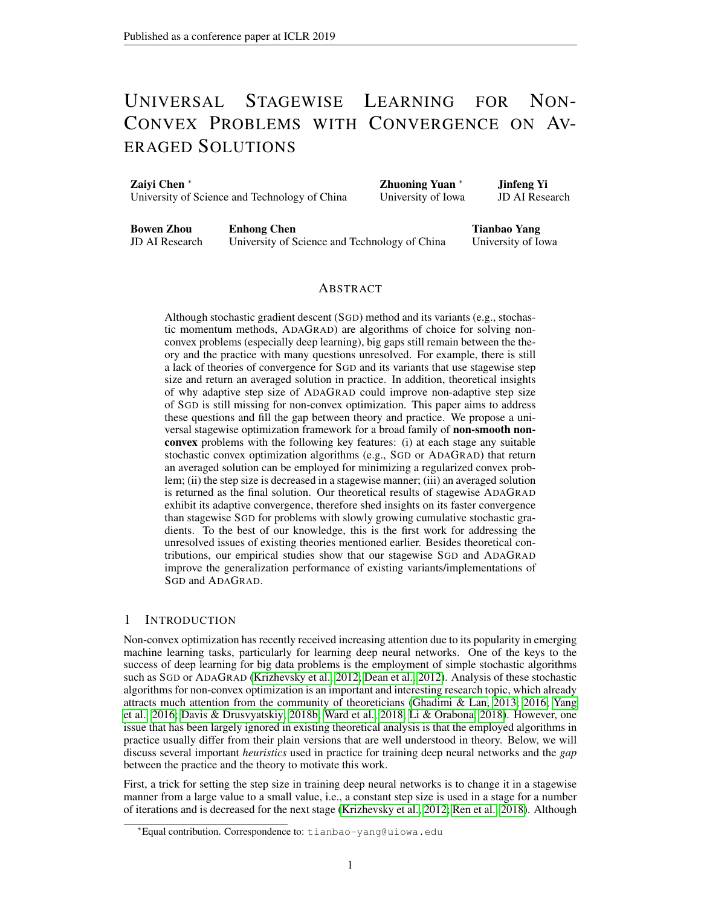## Algorithm 2 ADAGRAD $(f; x_0; \cdot; \cdot)$

- <span id="page-6-1"></span>1: **Initialize:**  $x_1 = x_0, g_{1:0} = []$ ,  $H_0 \supseteq R^{d \times d}$
- 2: while  $T$  does not satisfy the condition in Theorem [3](#page-6-0) do
- 3: Compute a stochastic subgradient  $g_t$  for  $f(x_t)$ <br>4: Update  $q_{1:t} = [q_{1:t-1}, g(x_t)], s_{t,i} = kq_{1:t,i}k_2$
- Update  $g_{1:t} = [g_{1:t-1}, g(\mathbf{x}_t)], s_{t,i} = k g_{1:t,i} k_2$
- 5: Set  $H_t = H_0 + \text{diag}(s_t)$  and  $\begin{bmatrix} \Delta t(\mathbf{x}) = \frac{1}{2}(\mathbf{x} \ \mathbf{x}_1)^{\top} H_t(\mathbf{x} \ \mathbf{x}_1) \end{bmatrix}$
- 6: Let  $x_{t+1} = \arg \min_{x \in I} x^{\top} \frac{1}{t}^{\top} t = 1 \cdot g + \frac{1}{t} t(x)$
- 7: end while
- 8: **Output:**  $\mathbf{k}_T = \begin{bmatrix} T \\ t=1 \end{bmatrix} \mathbf{x}_t = T$

<span id="page-6-3"></span>**Theorem [2](#page-5-3).** Suppose Assumption [1](#page-4-0) and 2 hold. By setting  $= 1 = (2)$ ,  $s = 0 = s$ ;  $T_s = 12$  s= 0 *where* <sup>0</sup> > 0 *is a free parameter, then stagewise* SGD *(Algorithm [1](#page-5-0) employing* SGD*) guarantees that*

$$
E k r (x) k2 \frac{16}{S+1} + \frac{24}{S+1} \frac{6^{2}(t+1)}{(S+1)};
$$

*where*  $\hat{G}^2 = 2G^2 + 2 \frac{-2D^2}{m}$ , and *is similarly defined as in Theorem [1.](#page-5-1)* 

**Remark:** To find a solution with  $E k r (x) k^2$   $2,$  we can set  $S = O(1-2)$  and the total iteration complexity  $\begin{bmatrix} S \\ S=1 \end{bmatrix}$   $\begin{bmatrix} S \\ S \end{bmatrix}$  is in the order of  $O(1-4)$ . The above theorem is essentially a corol-lary of Theorem [1](#page-5-4) by applying Lemma 1 to  $f_s()$  at each stage. We present a complete proof in the appendix.

#### 4.2 STAGEWISE ADAGRAD

One of the main contributions of the present work is to develop a variant of ADAGRAD with adaptive convergence to data for stochastic non-convex optimization. In this subsection, we analyze stagewise ADAGRAD and establish its adaptive complexity. In particular, we consider the Meta algorithm that employs ADAGRAD in Algorithm [2](#page-6-1) to optimize each  $f_s$ . The key difference of stagewise ADAGRAD from stagewise SGD is that the number of iterations  $T_s$  at each stage is adaptive to the history of learning. It is this adaptiveness that makes the proposed stagewise ADAGRAD achieve adaptive convergence. It is worth noting that such adaptive scheme has been also considered in [\(Chen et al.,](#page-9-7) [2018b\)](#page-9-7) for solving stochastic strongly convex problems. In contrast, we consider stochastic weakly convex problems. Similar to previous analysis of ADAGRAD [\(Duchi et al., 2011;](#page-9-6) [Chen et al., 2018b\)](#page-9-7), we assume  $kg(x; )k_{\infty}$  G;  $g(x; 2)$  in this subsection. Note that this is stronger than Assumption [1](#page-4-0) (ii). We formally state this assumption required in this subsection below.

<span id="page-6-2"></span>Assumption 3.  $kg(x; )k_{\infty}$  *G for any*  $x \, 2$ 

The convergence analysis of stagewise ADAGRAD is build on the following lemma, which is attributed to [Chen et al.](#page-9-7) [\(2018b\)](#page-9-7) with a proof sketch provided in the Appendix.

<span id="page-6-4"></span>**Lemma 2.** Let  $f(x)$  be a convex function,  $H_0 = GI$  with  $G$  max<sub>t</sub>  $kg_t k_{\infty}$ , and iteration number  $\int T$  *satisfy*  $T$   $\int M$  max  $f \frac{G + \max_i ||g_1 \cdot r_{i}||}{2c}$ ;  $c \int_{i=1}^{d} k g_1 \cdot r_{i}$ ;  $k g$  for some  $c > 0$ . Algorithm [2](#page-6-1) returns an *averaged solution*  $\mathbf{\hat{x}}_T$  *such that* 

$$
E[f(\mathbf{k}\tau) \quad f(\mathbf{x}_{*})] \quad \frac{c}{M} k\mathbf{x}_{0} \quad \mathbf{x}_{*}k^{2} + \frac{c}{Mc}.
$$
 (7)

*where*  $\mathbf{x}_* = \arg \min_{\mathbf{x} \in \mathcal{F}} f(\mathbf{x})$ ,  $g_{1:t} = (g(\mathbf{x}_1)) \cdots (g(\mathbf{x}_t))$  *and*  $g_{1:t}$ *j* denotes the *i-th row of*  $g_{1:t}$ 

The convergence property of stagewise ADAGRAD is described by following theorem.

<span id="page-6-0"></span>Theorem 3. *Suppose Assumption [1\(](#page-4-0)i), (iii), (iv), Assumption [2](#page-5-3) and Assumption [3](#page-6-2) hold. By setting* **Example 5 1.1.** Suppose  $\lim_{s \to s} \lim_{s \to s} \lim_{s \to s} \lim_{s \to s} f(s)$ ,  $\lim_{s \to s} f(s)$ ,  $\lim_{s \to s} f(s)$ ,  $\lim_{s \to s} f(s)$ ,  $\lim_{s \to s} f(s)$ ,  $\lim_{s \to s} f(s)$  where <sub>0</sub>;  $c > 0$  are free parameters, and M<sub>s s</sub> 24 c, then stagewise ADAGRAD guarantees that

$$
E\left[kr - (\mathbf{x})k^2\right] \quad \frac{16}{S+1} + \frac{4^2 \frac{2}{0} (+1)}{c^2(S+1)};
$$

where  $\hat{G} = G + \{-1D, g_{1:t,i}^s\}$  *denotes the cumulative stochastic gradient of the i-th coordinate at the* s*-th stage, and is similarly defined as in Theorem [1.](#page-5-1)*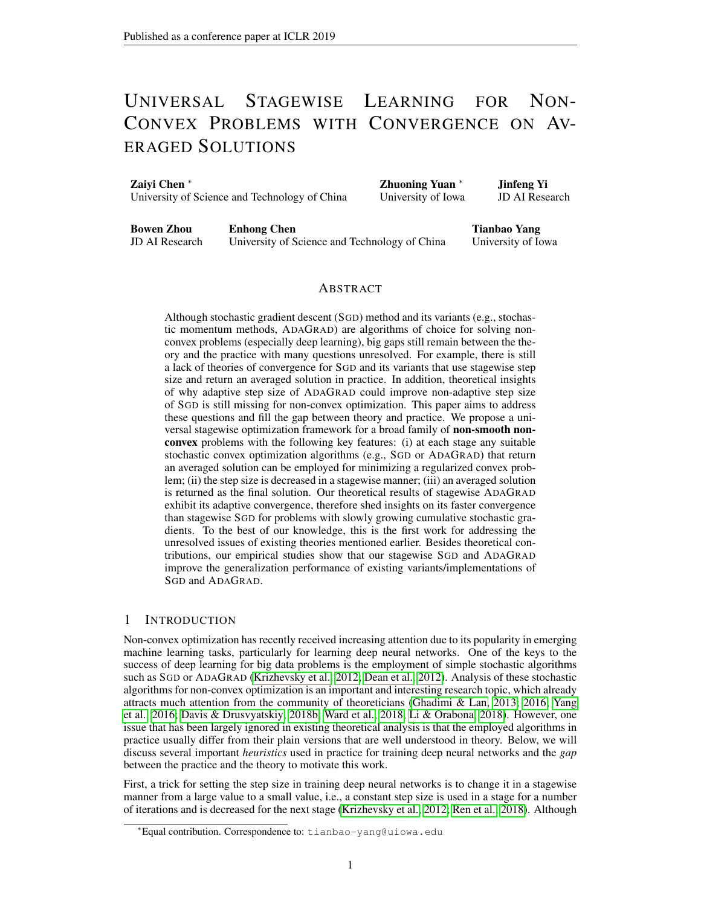**Remark:** Note that the free parameter  $c$  is introduced to balance the two terms in the lower bound **EXECUTE:** The total direct that the the parameter c is imposited to parameter the two terms in the fower bound of  $T_s$  due to that  $(\hat{G} + \max_i k g_{i:T_s;i}^s / \hat{G}) / \hat{G}^t T_s$  and  $\frac{d}{f=1} k g_{i:T_s;i}^s / \hat{G}^t T_s$  have different orders when *d* is very large. One way to balance these two terms is to set *c* in the order of  $\sqrt{1-d}$ , resulting  $O(d=(S + 1))$  for the second term in the above convergence bound. Another way is to choose c in the s-th stage such that the two terms in the max of the lower bound of  $T_s$  match each other. One can derive a similar order of  $O(d=(S + 1))$  for the second term in the above convergence bound. It is obvious that the total number of iterations  $\int_{s=1}^{S} T_s$  is adaptive to the data. Next, bound. It is obvious that the total number of iterations  $s=1/s$  is adaptive to the data. Next, Let us present more discussion on the heration complexity. Note that  $W_{S} \overline{\overline{S}}^{U(S)}$  by setting  $C$  as a constant. By the boundness of stochastic gradient  $k g_{1:T_{S}/i}^{S}(R) = O(\sqrt{T_{S}})$ , therefore  $T_{S}$  in the order of  $O(s)$  will satisfy the condition in Theorem [3.](#page-6-0) Thus, in the worst case the iteration complexity for finding  $E[kr \ (x)k^2]$  <sup>2</sup> is in the order of  $S_{s=1}$  O(s) O(1=4). To show the potential advantage of adaptive step size as in the convex case, let us consider a good case when the cumulative growth of stochastic gradient is slow, e.g., assuming  $k g_{1:T_s;i}^s$   $\mathcal{O}(T_s)$ with  $\epsilon$  1=2. Then  $T_s = O(s^{1-(2(1-\epsilon))})$  will work, and then the total number of iterations  $\int_{s=1}^{S} T_s$   $S^{1+1=(2(1-\gamma))}$   $O(1 = 2+1=(1-\gamma))$ , which is better than  $O(1 = 4)$ .

#### 4.3 STAGEWISE STOCHASTIC MOMENTUM (SM) METHODS

Finally, we present stagewise stochastic momentum (SM) methods and their convergence results. In the literature, there are two popular variants of stochastic momentum methods, namely, stochastic heavy-ball method (SHB) and stochastic Nesterov's accelerated gradient method (SNAG). Both methods have been used for training deep neural networks [\(Krizhevsky et al., 2012;](#page-10-0) [Sutskever et al.,](#page-10-17) [2013\)](#page-10-17), and have been analyzed by [\(Yang et al., 2016\)](#page-10-1) for non-convex optimization. To contrast with the results in [\(Yang et al., 2016\)](#page-10-1), we will consider the same unified stochastic momentum methods that subsume SHB, SNAG and SGD as special cases when  $= R^{d}$ . The updates are presented in Algorithm [4](#page-12-1) in the Appendix. There are two additional parameters:  $2(0,1)$  is the momentum parameter and is a parameter that can vary between  $[0, 1=(1, 1)]$ . By changing the value of , we can obtain the three variants, SHB ( $= 0$ ), SNAG ( $= 1$ ) and SGD ( $= 1=(1 \tcup 1)$ ). Due to the limit of space, we only present the convergence of stagewise SM methods below.

<span id="page-7-1"></span>**Theorem 4.** Suppose Assumption [1](#page-4-0) holds. By setting  $= 1 = (2)$ ,  $s = (1) = (96s(-1))$ , T<sup>s</sup> 2304( + 1)s*, with similarly defined as in Theorem [1](#page-5-1) stagewise SM methods guarantee*

$$
E[kr \quad (\mathbf{x})k^2] \quad \frac{16}{S+1}(\mathbf{x}) + \frac{G^2((1+48(2n+1)(1n)))(1+1)}{96(1+1)(1n)(S+1)}.
$$

Remark: The bound in the above theorem is in the same order as that in Theorem [2.](#page-6-3) The total iteration complexity for finding a solution x with  $E$  kr  $(x)k^2$   $\frac{2}{18}$  O(1= 4) similar to that achieved in [\(Yang et al., 2016\)](#page-10-1).

### 5 EXPERIMENTS

In this section, we present some empirical results to verify the effectiveness of the proposed stagewise algorithms. We use two benchmark datasets, namely CIFAR-10 and CIFAR-100 [\(Krizhevsky](#page-10-7) [et al.\)](#page-10-7) for our experiments. We implement the proposed stagewise algorithms in TensorFlow. We compare different algorithms for learning ResNet-20 [\(He et al., 2016\)](#page-9-15) with batch normalization [\(Ioffe & Szegedy, 2015\)](#page-9-16) adopted after each convolution and before ReLu activation.

Baselines. We compare the proposed stagewise algorithms with their variants implemented in TensorFlow. It is notable that ADAGRAD has a step size (aka learning rate) parameter  $<sup>1</sup>$  $<sup>1</sup>$  $<sup>1</sup>$ , which is a</sup> constant in theory [\(Li & Orabona, 2018;](#page-10-3) [Chen et al., 2018a;](#page-9-8) [Zou & Shen, 2018\)](#page-11-0). However, in the deep learning community a heuristic fixed frequency decay scheme for the step size parameter is commonly adopted [\(Ren et al., 2018;](#page-10-4) [Wilson et al., 2017\)](#page-10-18). We thus compare two implementations of ADAGRAD - one with a constant learning rate parameter and another one with a fixed frequency decay scheme, which are referred to as ADAGRAD (theory) and ADAGRAD (heuristic). For each baseline algorithms of SGD, SHB, SNAG, we also implement two versions - a theory version with iteratively decreasing size  $e^{-t}$  t suggested by previous theories and a heuristic approach with fixed frequency decay scheme used in practice, using (theory) and (heuristic) to indicate them. The fixed

<span id="page-7-0"></span><sup>&</sup>lt;sup>1</sup> note it is not equivalent to the step size in SGD.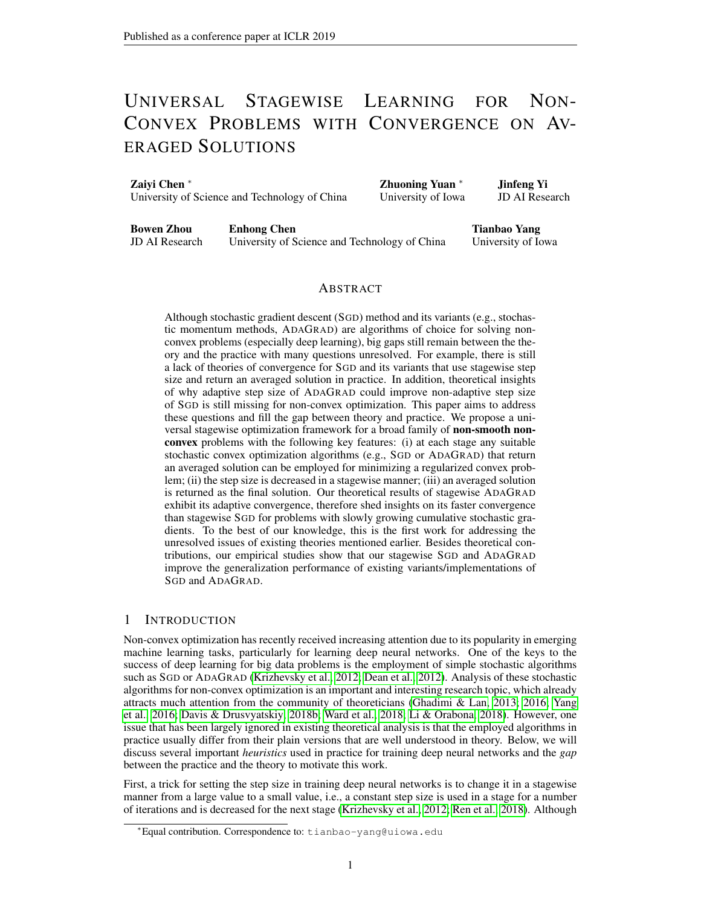

<span id="page-8-1"></span>Figure 1: Comparison of Testing Error on CIFAR-10 (top) and CIFAR-100 (bottom).

frequency decay scheme used in the heuristic variants is similar as that in [\(He et al., 2016\)](#page-9-15), i.e., the step size parameter is decreased by 10 at 40k, 60k iterations. We also compare stagwise ADAGRAD with AMSGrad [\(Reddi et al., 2018\)](#page-10-10) - a corrected version of Adam.

**Parameters.** The stagewise step size  $s = 0^{\frac{1}{2}}$  is used in stagwise ADAGRAD, the number of iterations  $T_s$  in stagwise ADAGRAD is set according to Theorem [3](#page-6-0) with some simplifications for dealing with unknown  $\hat{G}$ , in particular we set  $\overline{\tau_s}$  to the smallest value larger than  $T_0$  smax<sub>i</sub> kg<sub>1:T<sub>s;i</sub>k i<sub>kg<sub>1:T<sub>s;i</sub>k.</sub> For stagewise SGD, SHB, SNAG, the stagewise step size and</sub></sub> iteration number is set to  $s = 0.5$  and  $T_s = T_0 s$ , respectively. The involved parameters in the compared algorithms are tuned for the best performance, including the initial step size parameter  $_0$ of all algorithms, the value of  $T_0$  and for our stagewise algorithms.

**Results.** We consider two settings - with/without an  $\lambda$  norm regularization on weights. For comparison, we evaluate the training error and testing error of obtained solutions in the process of training. For our stagewise algorithms, the evaluation is done based on the current averaged solution, and for other baselines the evaluation is done based on the current solution. Due to the limit of space, we only show the results of testing error on CIFAR-10 and CIFAR-100 for the setting without regularization in Figure [1.](#page-8-1) All results are included in the Appendix. From all results, we have several observations. (i) The proposed stagewise algorithms perform much better in terms of testing error than the existing theoretical versions reported in the literature (marked with theory in the legend). This indicates the proposed stagewise step size scheme is better than iteratively decreasing step size scheme. (ii) The proposed stagewise algorithms achieve similar and sometimes even better testing error than the heuristic approaches with a fixed frequency decay scheme used in practice. However, the heuristic approaches usually give smaller training error. This seems to indicate that the proposed algorithms are less vulnerable to the overfitting. In another word, the proposed algorithms have smaller generalization error, i.e., the difference between the testing error and the training error.

## 6 CONCLUSION & FUTURE WORK

In this paper, we have proposed a universal stagewise learning framework for solving stochastic nonconvex optimization problems, which employs well-known tricks in practice that have not been well analyzed theoretically. We provided theoretical convergence results for the proposed algorithms for non-smooth non-convex optimization problems. We also established an adaptive convergence of a stochastic algorithm using data adaptive coordinate-wise step size of ADAGRAD, and exhibited its faster convergence than non-adaptive stepsize when the growth of cumulative stochastic gradients is slow similar to that in the convex case. For future work, one may consider developing more variants of the proposed meta algorithm, e.g., stagewise AMSGrad, stagewise RMSProp, etc. We will also consider the empirical studies on the large-scale ImageNet data set.

#### **REFERENCES**

<span id="page-8-0"></span>Martín Abadi, Ashish Agarwal, Paul Barham, Eugene Brevdo, Zhifeng Chen, Craig Citro, Greg S. Corrado, Andy Davis, Jeffrey Dean, Matthieu Devin, Sanjay Ghemawat, Ian Goodfellow, Andrew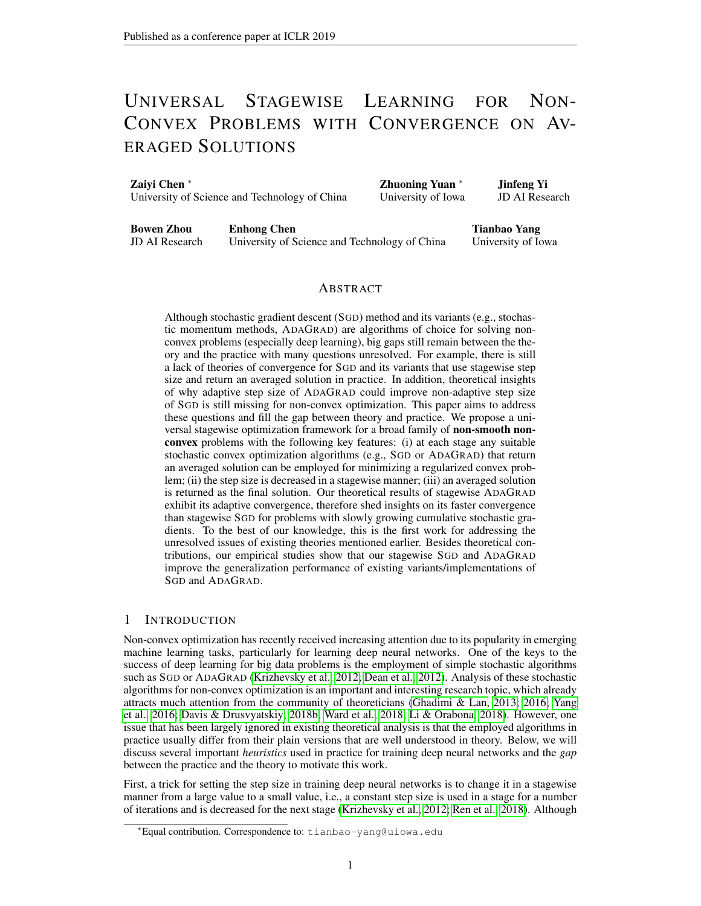Harp, Geoffrey Irving, Michael Isard, Yangqing Jia, Rafal Jozefowicz, Lukasz Kaiser, Manjunath Kudlur, Josh Levenberg, Dandelion Mane, Rajat Monga, Sherry Moore, Derek Murray, Chris ´ Olah, Mike Schuster, Jonathon Shlens, Benoit Steiner, Ilya Sutskever, Kunal Talwar, Paul Tucker, Vincent Vanhoucke, Vijay Vasudevan, Fernanda Viegas, Oriol Vinyals, Pete Warden, Martin Wat- ´ tenberg, Martin Wicke, Yuan Yu, and Xiaoqiang Zheng. TensorFlow: Large-scale machine learning on heterogeneous systems, 2015. URL <https://www.tensorflow.org/>. Software available from tensorflow.org.

- <span id="page-9-10"></span>Zeyuan Allen-Zhu. Natasha: Faster non-convex stochastic optimization via strongly non-convex parameter. In *Proceedings of the 34th International Conference on Machine Learning (ICML)*, pp. 89–97, 2017.
- <span id="page-9-4"></span>Léon Bottou. Large-scale machine learning with stochastic gradient descent. In *Proceedings of International Conference on Computational Statistics (COMPSTAT)*, pp. 177–187, 2010.
- <span id="page-9-11"></span>Yair Carmon, John C. Duchi, Oliver Hinder, and Aaron Sidford. Accelerated methods for nonconvex optimization. *CoRR*, abs/1611.00756, 2016.
- <span id="page-9-8"></span>Xiangyi Chen, Sijia Liu, Ruoyu Sun, and Mingyi Hong. On the convergence of a class of adam-type algorithms for non-convex optimization. *CoRR*, abs/1808.02941, 2018a.
- <span id="page-9-7"></span>Zaiyi Chen, Yi Xu, Enhong Chen, and Tianbao Yang. Sadagrad: Strongly adaptive stochastic gradient methods. In *Proceedings of the 35th International Conference on Machine Learning (ICML)*, 2018b.
- <span id="page-9-13"></span>Damek Davis and Dmitriy Drusvyatskiy. Stochastic model-based minimization of weakly convex functions. *CoRR*, abs/1803.06523, 2018a.
- <span id="page-9-3"></span>Damek Davis and Dmitriy Drusvyatskiy. Stochastic subgradient method converges at the rate *o*( $k^{-1=4}$ ) on weakly convex functions. *CoRR*, /abs/1802.02988, 2018b.
- <span id="page-9-9"></span>Damek Davis and Benjamin Grimmer. Proximally guided stochastic subgradient method for nonsmooth, nonconvex problems. *arXiv preprint arXiv:1707.03505*, 2017.
- <span id="page-9-0"></span>Jeffrey Dean, Greg S. Corrado, Rajat Monga, Kai Chen, Matthieu Devin, Quoc V. Le, Mark Z. Mao, Marc'Aurelio Ranzato, Andrew Senior, Paul Tucker, Ke Yang, and Andrew Y. Ng. Large scale distributed deep networks. In *NIPS*, pp. 1223–1231, USA, 2012. Curran Associates Inc.
- <span id="page-9-12"></span>D. Drusvyatskiy and C. Paquette. Efficiency of minimizing compositions of convex functions and smooth maps. *Mathematical Programming*, Jul 2018.
- <span id="page-9-14"></span>Dmitriy Drusvyatskiy and Adrian S. Lewis. Error bounds, quadratic growth, and linear convergence of proximal methods. *arXiv:1602.06661*, 2016.
- <span id="page-9-6"></span>John Duchi, Elad Hazan, and Yoram Singer. Adaptive subgradient methods for online learning and stochastic optimization. *Journal of Machine Learning Research*, 12(Jul):2121–2159, 2011.
- <span id="page-9-1"></span>Saeed Ghadimi and Guanghui Lan. Stochastic first- and zeroth-order methods for nonconvex stochastic programming. *SIAM Journal on Optimization*, 23(4):2341–2368, 2013.
- <span id="page-9-2"></span>Saeed Ghadimi and Guanghui Lan. Accelerated gradient methods for nonconvex nonlinear and stochastic programming. *Math. Program.*, 156(1-2):59–99, 2016.
- <span id="page-9-5"></span>Moritz Hardt, Ben Recht, and Yoram Singer. Train faster, generalize better: Stability of stochastic gradient descent. In *Proceedings of the 33nd International Conference on Machine Learning (ICML)*, pp. 1225–1234, 2016.
- <span id="page-9-15"></span>Kaiming He, Xiangyu Zhang, Shaoqing Ren, and Jian Sun. Deep residual learning for image recognition. In *Proceedings of the IEEE conference on computer vision and pattern recognition*, pp. 770–778, 2016.
- <span id="page-9-16"></span>Sergey Ioffe and Christian Szegedy. Batch normalization: Accelerating deep network training by reducing internal covariate shift. In *Proceedings of the 32nd International Conference on Machine Learning, (ICML)*, pp. 448–456, 2015.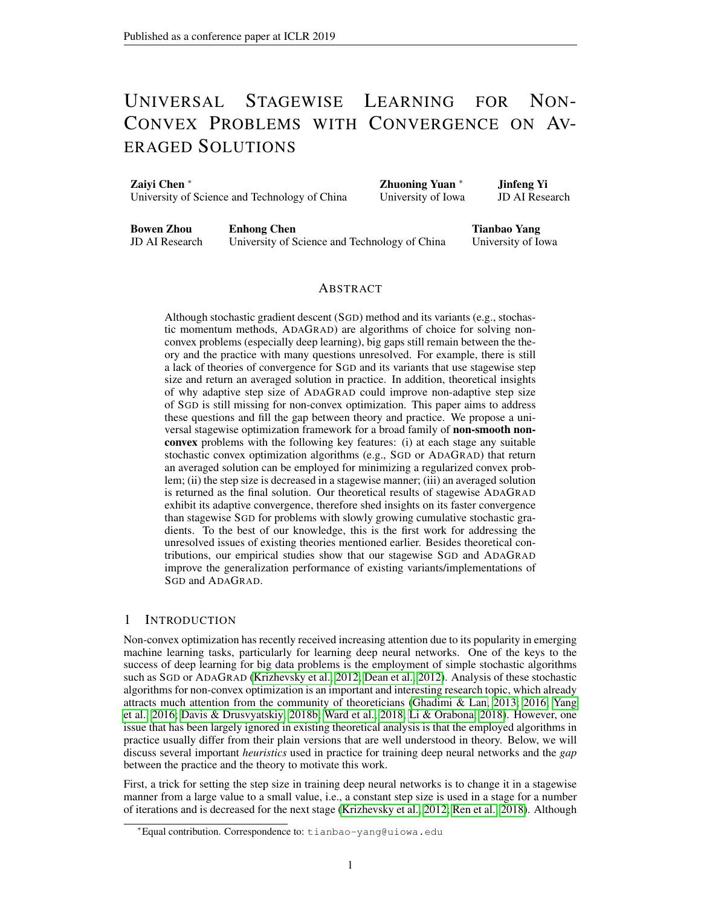- <span id="page-10-5"></span>Yangqing Jia, Evan Shelhamer, Jeff Donahue, Sergey Karayev, Jonathan Long, Ross Girshick, Sergio Guadarrama, and Trevor Darrell. Caffe: Convolutional architecture for fast feature embedding. *arXiv preprint arXiv:1408.5093*, 2014.
- <span id="page-10-9"></span>Diederik Kingma and Jimmy Ba. Adam: A method for stochastic optimization. *International Conference on Learning Representations*, 2015.
- <span id="page-10-7"></span>Alex Krizhevsky, Vinod Nair, and Geoffrey Hinton. Cifar-10 (canadian institute for advanced research).
- <span id="page-10-0"></span>Alex Krizhevsky, Ilya Sutskever, and Geoffrey E. Hinton. Imagenet classification with deep convolutional neural networks. In *Advances in Neural Information Processing Systems (NIPS)*, pp. 1106–1114, 2012.
- <span id="page-10-13"></span>Guanghui Lan and Yu Yang. Accelerated stochastic algorithms for nonconvex finite-sum and multiblock optimization. *CoRR*, abs/1805.05411, 2018.
- <span id="page-10-3"></span>Xiaoyu Li and Francesco Orabona. On the convergence of stochastic gradient descent with adaptive stepsizes. *CoRR*, abs/1805.08114, 2018.
- <span id="page-10-8"></span>Ilya Loshchilov and Frank Hutter. SGDR: stochastic gradient descent with restarts. In *ICLR*, volume abs/1608.03983, 2017.
- <span id="page-10-14"></span>Mahesh Chandra Mukkamala and Matthias Hein. Variants of RMSProp and Adagrad with logarithmic regret bounds. In Doina Precup and Yee Whye Teh (eds.), *Proceedings of the 34th International Conference on Machine Learning*, volume 70 of *Proceedings of Machine Learning Research*, pp. 2545–2553, International Convention Centre, Sydney, Australia, 06–11 Aug 2017. PMLR.
- <span id="page-10-15"></span>Hua Ouyang, Niao He, Long Tran, and Alexander Gray. Stochastic alternating direction method of multipliers. In *International Conference on Machine Learning*, pp. 80–88, 2013.
- <span id="page-10-6"></span>Adam Paszke, Sam Gross, Soumith Chintala, Gregory Chanan, Edward Yang, Zachary DeVito, Zeming Lin, Alban Desmaison, Luca Antiga, and Adam Lerer. Automatic differentiation in pytorch. 2017.
- <span id="page-10-10"></span>Sashank J Reddi, Satyen Kale, and Sanjiv Kumar. On the convergence of adam and beyond. In *International Conference on Learning Representations*, 2018.
- <span id="page-10-4"></span>Mengye Ren, Wenyuan Zeng, Bin Yang, and Raquel Urtasun. Learning to reweight examples for robust deep learning. *arXiv preprint arXiv:1803.09050*, 2018.
- <span id="page-10-12"></span>R. Tyrrell Rockafellar. Monotone operators and the proximal point algorithm. *SIAM Journal on Control and Optimization*, 14:877–898, 1976.
- <span id="page-10-19"></span>R.T. Rockafellar. *Convex Analysis*. Princeton mathematical series. Princeton University Press, 1970.
- <span id="page-10-17"></span>Ilya Sutskever, James Martens, George E. Dahl, and Geoffrey E. Hinton. On the importance of initialization and momentum in deep learning. In *Proceedings of the 30th International Conference on Machine Learning (ICML)*, pp. 1139–1147, 2013.
- <span id="page-10-16"></span>Taiji Suzuki. Dual averaging and proximal gradient descent for online alternating direction multiplier method. In *International Conference on Machine Learning*, pp. 392–400, 2013.
- <span id="page-10-2"></span>Rachel Ward, Xiaoxia Wu, and Leon Bottou. Adagrad stepsizes: Sharp convergence over nonconvex landscapes. *CoRR*, abs/1806.01811, 2018.
- <span id="page-10-18"></span>Ashia C. Wilson, Rebecca Roelofs, Mitchell Stern, Nati Srebro, and Benjamin Recht. The marginal value of adaptive gradient methods in machine learning. In *NIPS*, pp. 4151–4161, 2017.
- <span id="page-10-11"></span>Yi Xu, Qihang Lin, and Tianbao Yang. Stochastic convex optimization: Faster local growth implies faster global convergence. In *ICML*, pp. 3821 – 3830, 2017.
- <span id="page-10-1"></span>Tianbao Yang, Qihang Lin, and Zhe Li. Unified convergence analysis of stochastic momentum methods for convex and non-convex optimization. volume abs/1604.03257, 2016.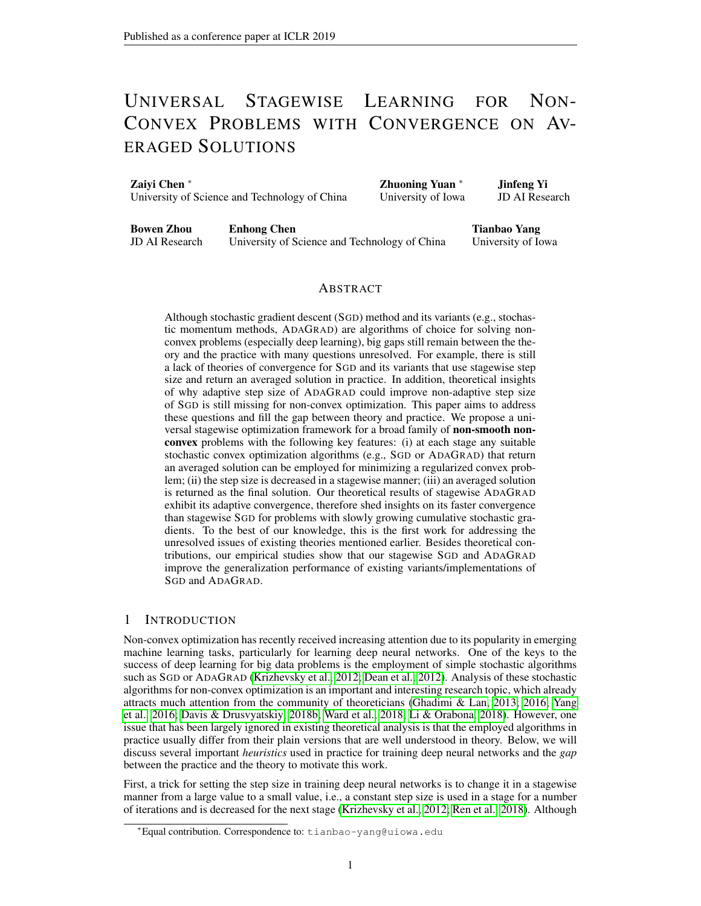<span id="page-11-1"></span>Martin Zinkevich. Online convex programming and generalized infinitesimal gradient ascent. In *ICML*, pp. 928–936, 2003.

<span id="page-11-0"></span>Fangyu Zou and Li Shen. On the convergence of adagrad with momentum for training deep neural networks. *CoRR*, abs/1808.03408, 2018.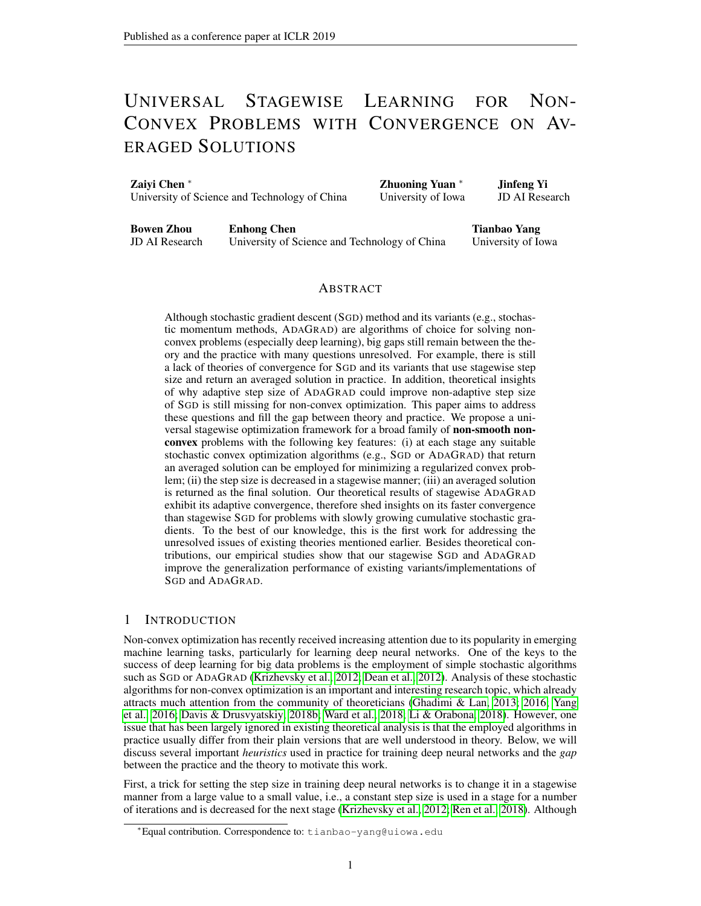Algorithm 3 SGD $(f(\mathbf{x}_0))$ :  $\overline{f}$ )

<span id="page-12-0"></span>for  $t = 0$ ; :::;  $T$  do Compute a stochastic subgradient  $\mathbf{g}_t$  for  $f(\mathbf{x}_t)$ .  $\mathbf{x}_{t+1} = [\mathbf{x}_t \quad \mathbf{g}_t]$ end for **Output:**  $\mathbf{k}_T = \begin{bmatrix} T \\ t=0 \end{bmatrix} \mathbf{x}_t = (T + 1)$ 

**Algorithm 4** Unified Stochastic Momentum Methods:  $SUM(f; x_0; f)$ 

<span id="page-12-1"></span>Set parameters:  $0$  and  $2(0, 1)$ . for  $t = 0$ ; :::;  $T$  do Compute a stochastic subgradient  $\mathbf{g}_t$  for  $f(\mathbf{x}_t)$ .  $y_{t+1} = x_t$  g<sub>t</sub>  $\oint_{t+1} f(t) = \mathbf{x}_t \quad \mathbf{g}_t$  $\mathbf{x}_{t+1} = \mathbf{y}_{t+1} + (\mathbf{\hat{y}}_{t+1} - \mathbf{\hat{y}}_t)$ <br>d for end for **Output:**  $\mathbf{k}_T = \begin{bmatrix} T \\ t=0 \end{bmatrix} \mathbf{x}_t = (T + 1)$ 

# A MORE EXPERIMENTAL RESULTS

In this section, we present more experimental results. Comparison of training and testing error in the two settings (w/o regularization) on the two data sets are plotted in Figure [2,](#page-13-0) [3,](#page-13-1) [4,](#page-14-0) [5.](#page-14-1) We also report the final testing error (after running 80k iterations) of different algorithms in the two settings on the two datasets in Table [1.](#page-13-2) For parameter tuning, the initial step sizes of all algorithms are tuned in  $f0.1; 0.3; 0.5; 0.7; 0.9g$ . The value of of stagewise algorithms is tuned in  $f1$ ; 10; 100; 500; 1000; 1500; 2000; 3000g. The initial value  $T_0$  for stagewise SGD, SHB, SNAG is tuned in  $f10; 100; 1k; 5k; 6k; 7k; 10k; 20kg$ , and that for stagewise ADAGRAD is tuned in f1; 10; 15; 20; 25; 50; 100g.

#### B PROOF OF THEOREM [1](#page-5-1)

*Proof.* Below, we use  $E_s$  to denote expectation over randomness in the s-th stage given all history before s-th stage. Define

<span id="page-12-3"></span><span id="page-12-2"></span>
$$
\mathbf{z}_s = \arg\min_{\mathbf{x} \in} f_s(\mathbf{x}) = \text{prox}_{(1, 0, 0)}(\mathbf{x}_{s-1})
$$
(8)

Then  $r \, (x_{s-1}) = -1(x_{s-1} \, z_s)$ . By applying the convergence bound of SA to  $f_s(x)$ , we have

$$
E_s[f_s(\mathbf{x}_s) \quad f_s(\mathbf{z}_s)] = \left| \frac{\gamma(s; T_s; \quad)k\mathbf{x}_{s-1} \quad \mathbf{z}_s k_2^2 + \gamma_2(s; T_{s-1}^{\prime}) (f_s(\mathbf{x}_{s-1}) \quad f_s(\mathbf{z}_s)) + \gamma_3(s; T_{s-1}^{\prime})}{\varepsilon_s} \right|
$$

It then follows that

$$
E_{S} \quad (\mathbf{x}_{S}) + \frac{1}{2} k \mathbf{x}_{S} \quad \mathbf{x}_{S-1} k^{2} \qquad f_{S}(\mathbf{z}_{S}) + E_{S} \quad f_{S}(\mathbf{x}_{S-1}) + E_{S} \tag{9}
$$

On the other hand, we have that

$$
kx_{s} \t x_{s-1}k^{2} = kx_{s} \t z_{s} + z_{s} \t x_{s-1}k^{2}
$$
  
=  $kx_{s} \t z_{s}k^{2} + kz_{s} \t x_{s-1}k^{2} + 2kz_{s} \t z_{s}z_{s} \t x_{s-1}i$   
(1  $_{s}^{-1}$ ) $kx_{s} \t z_{s}k^{2} + (1 \t s)kx_{s-1} \t z_{s}k^{2}$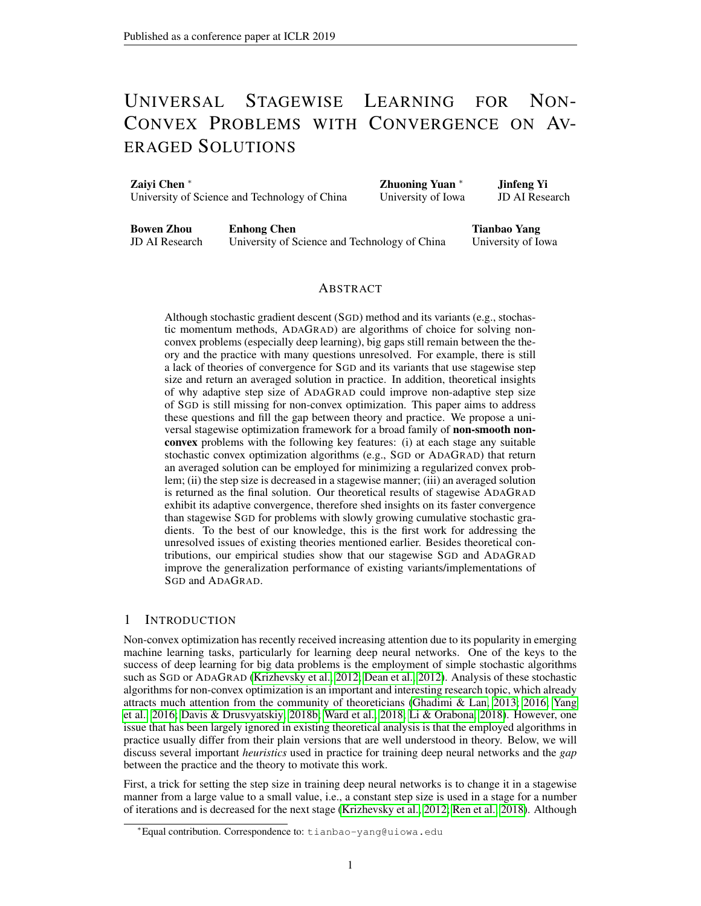|                     | $\sim$    |              |           |              |
|---------------------|-----------|--------------|-----------|--------------|
|                     |           | $CIFAR-10$   |           | $CIFAR-100$  |
| Algorithms          | with reg. | without reg. | with reg. | without reg. |
| SGD (theory)        | 16.25     | 19.18        | 43.51     | 45.78        |
| SGD (heuristic)     | 8.34      | 10.81        | 33.67     | 37.19        |
| Stagewise-SGD       | 8.34      | 9.01         | 32.25     | 34.95        |
| SHB (theory)        | 15.67     | 16.55        | 39.15     | 46.23        |
| SHB (heuristic)     | 8.58      | 10.28        | 33.30     | 37.56        |
| Stagewise-SHB       | 8.30      | 8.61         | 32.85     | 34.49        |
| SNAG (theory)       | 17.64     | 16.76        | 39.34     | 44.21        |
| SNAG (heuristic)    | 8.85      | 10.34        | 33.89     | 36.84        |
| Stagewise-SNAG      | 8.00      | 8.93         | 31.42     | 33.29        |
| AMSGrad             | 10.76     | 11.13        | 38.62     | 39.96        |
| AdaGrad (theory)    | 12.11     | 13.96        | 39.09     | 44.49        |
| AdaGrad (heuristic) | 10.71     | 13.80        | 37.04     | 41.06        |
| Stagewise-AdaGrad   | 9.09      | 9.51         | 33.95     | 34.62        |

<span id="page-13-2"></span>Table 1: Comparison of Final Testing Error (%) on CIFAR-10 and CIFAR-100 Datasets



Figure 2: Comparison of Training Error (Top) and Testing Error (bottom) on CIFAR-10 without Regularization.



Figure 3: Comparison of Training Error (Top) and Testing Error (bottom) on CIFAR-10 with Regularization. The regularization parameter is set 5e 4.

where the inequality follows from the Young's inequality with  $0 < s < 1$ . Combining the above inequality with [\(9\)](#page-12-2) we have that

$$
E_{s} \frac{(1-s)}{2}kx_{s-1} z_{s}k^{2} E_{s} (x_{s-1}) (x_{s}) + \frac{(-1-s)}{2}kx_{s} z_{s}k^{2} + E_{s}
$$
  
\n
$$
E_{s} (x_{s-1}) (x_{s}) + \frac{(-1-s)}{2}(f_{s}(x_{s}) f_{s}(z_{s})) + E_{s}
$$
  
\n
$$
E_{s} (x_{s-1}) (x_{s}) + \frac{-1}{(1-s)}E_{s} E_{s} (x_{s-1}) (x_{s})
$$
  
\n
$$
+ E_{s} \frac{-1}{(1-s)}f''_{1}(s; T_{s}; )kx_{s-1} z_{s}k^{2} + \frac{y_{2}}{2}(s; T_{s}; )(f_{s}(x_{s-1}) f_{s}(z_{s})) + \frac{y_{3}}{3}(s; T_{s}; )g
$$
  
\n
$$
14
$$
  
\n(10)

<span id="page-13-3"></span><span id="page-13-1"></span><span id="page-13-0"></span> $\boldsymbol{\dot{\mathit{c}}}$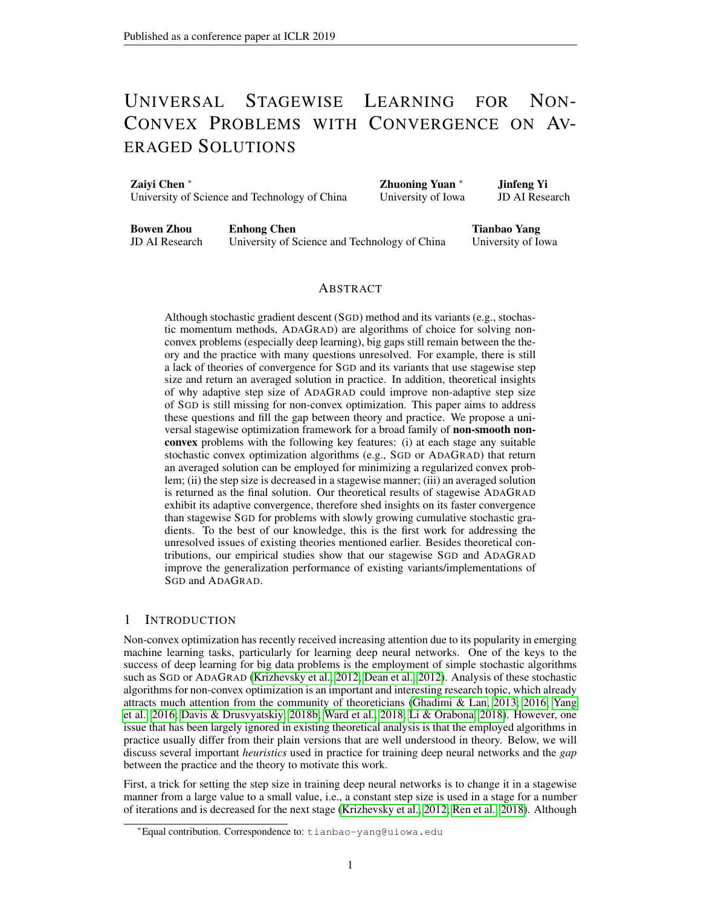

Figure 4: Comparison of Training Error (Top) and Testing Error (bottom) on CIFAR-100 without Regularization.

<span id="page-14-0"></span>

Figure 5: Comparison of Training Error (Top) and Testing Error (bottom) on CIFAR-100 with Regularization. The regularization parameter is set 5e 4.

<span id="page-14-1"></span>

Figure 6: Comparison of different stagewise algorithms in terms of Training Error and Testing Error on CIFAR-10 (top) and CIFAR-100 (bottom) with regularization. The regularization parameter is set 5e 4.

where the second inequality uses the strong convexity of  $f_s(\mathbf{x})$ , whose strong convexity parameter is  $^{-1}$ . Next, we bound  $f_s(\mathbf{x}_{s-1})$   $f_s(\mathbf{z}_s)$  given that  $\mathbf{x}_{s-1}$  is fixed. According to the definition  $-1$ . Next, we bound  $f_s(\mathbf{x}_{s-1})$   $f_s(\mathbf{z}_s)$  given that  $\mathbf{x}_{s-1}$  is fixed. According to the definition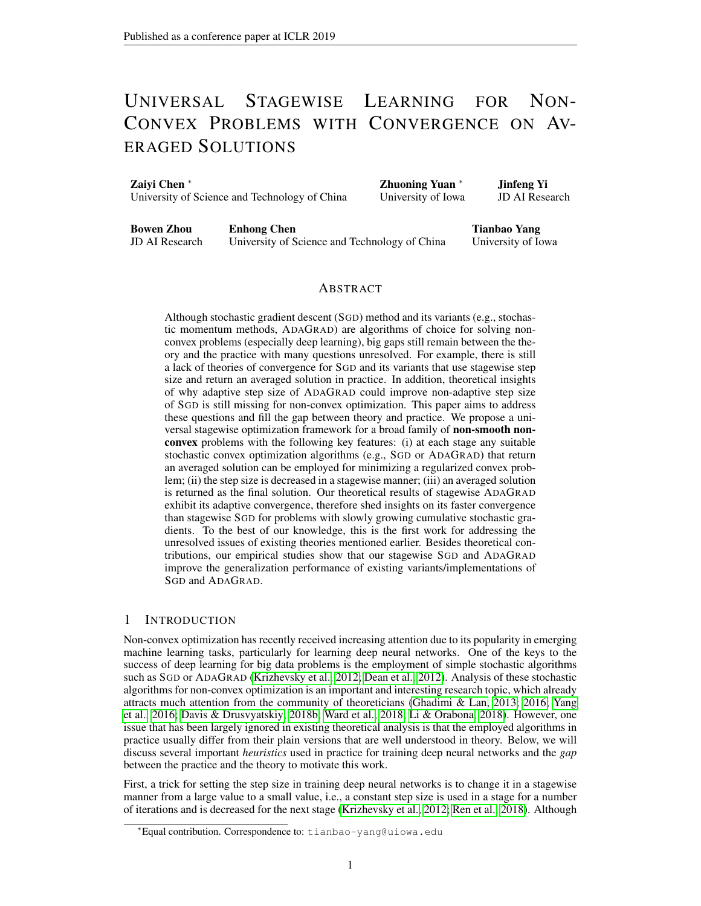of  $f_s($ ), we have

$$
f_{s}(\mathbf{x}_{s-1}) \t f_{s}(\mathbf{z}_{s}) = (\mathbf{x}_{s-1}) \t (\mathbf{z}_{s}) \t \frac{1}{2} k \mathbf{z}_{s} \t \mathbf{x}_{s-1} k^{2}
$$
  
\n
$$
= (\mathbf{x}_{s-1}) \t (\mathbf{x}_{s}) + (\mathbf{x}_{s}) \t (\mathbf{z}_{s}) \t \frac{1}{2} k \mathbf{z}_{s} \t \mathbf{x}_{s-1} k^{2}
$$
  
\n
$$
= [ (\mathbf{x}_{s-1}) \t (\mathbf{x}_{s})] + f_{s}(\mathbf{x}_{s}) \t f_{s}(\mathbf{z}_{s}) + \frac{1}{2} k \mathbf{z}_{s} \t \mathbf{x}_{s-1} k^{2} \t \frac{1}{2} k \mathbf{x}_{s} \t \mathbf{x}_{s-1} k^{2} \t \frac{1}{2} k \mathbf{z}_{s} \t \mathbf{x}_{s-1} k^{2}
$$
  
\n
$$
[ (\mathbf{x}_{s-1}) \t (\mathbf{x}_{s})] + [f_{s}(\mathbf{x}_{s}) \t f_{s}(\mathbf{z}_{s})] :
$$

Taking expectation over randomness in the s-th stage on both sides, we have

$$
f_s(\mathbf{x}_{s-1})
$$
  $f_s(\mathbf{z}_s)$   $E_s[(\mathbf{x}_{s-1})$   $(\mathbf{x}_s)] + E_s[f_s(\mathbf{x}_s)$   $f_s(\mathbf{z}_s)]$   
\n $E[(\mathbf{x}_{s-1})$   $(\mathbf{x}_s)] + {\bf 1}({\bf s}; T_s; )k\mathbf{x}_{s-1}$   $\mathbf{z}_s k_2^2 + {\bf 2}({\bf s}; T_s; ) (f_s(\mathbf{x}_{s-1})$   $f_s(\mathbf{z}_s)) + {\bf 2}({\bf s}; T_s; ).\nThus,$ 

(1 "2( <sup>s</sup>; Ts; -))(fs(xs−1) fs(zs)) E[ (xs−1) (xs)] + "1( <sup>s</sup>; Ts; -)kxs−<sup>1</sup> zsk 2 <sup>2</sup> + "3( <sup>s</sup>; Ts; -): Assuming that "2( <sup>s</sup>; Ts; -) 1=2, we have

$$
\int_{2}^{\infty} \left( \int_{S} \overline{f}_{S}(x_{S-1}) - f_{S}(\mathbf{z}_{S}) \right) \mathbf{E}_{S} \left( \mathbf{x}_{S-1} \right) \quad (\mathbf{x}_{S}) + \int_{1}^{\infty} \left( \int_{S} \overline{f}_{S}(x_{S-1}) - \mathbf{z}_{S} \right) \mathbf{x}_{S-1} \quad \mathbf{z}_{S} \mathbf{x}_{2}^{2} + \int_{3}^{\infty} \left( \int_{S} \overline{f}_{S}(x_{S-1}) \right) \mathbf{x}_{S-1}
$$
 Plugging this upper bound into (10), we have

Plugging this upper bound into 
$$
(10)
$$
, we have

$$
E_{s} \frac{(1 \quad s)}{2} k x_{s-1} \quad z_{s} k^{2} \qquad E_{s} \quad (x_{s-1}) \qquad (x_{s})
$$
  
+ 
$$
E_{s} \frac{s^{-1}}{(1 \quad 1)} f 2''_{1} (s_{s} ; T_{s}; ) k x_{s-1} \quad z_{s} k^{2} + (x_{s-1}) \qquad (x_{s}) + 2''_{3} (s_{s} ; T_{s}; )g \qquad (11)
$$

By setting  $s = 1=2$ ;  $s = 1=(2)$  and assuming "1 ( $s$ ;  $T_s$ ; ) 1=(48), we have

$$
E_s \frac{1}{8} k \mathbf{x}_{s-1} \mathbf{z}_s k^2
$$
  $4E_s (\mathbf{x}_{s-1}) (\mathbf{x}_s) + 6 \mathbf{x}_3 (\mathbf{x}_s; T_s; )g$ 

Define  $W_S = S$ . Multiplying both sides by  $W_S$ , we have that

$$
w_s \text{ } E_s[kr \quad (\mathbf{x}_{s-1})k^2] \quad E_s \ 32w_s \quad s + 48''_3(\quad s; T_s; \quad)w_s
$$

By summing over  $s = 1$ ; :::: ;  $S + 1$ , we have

$$
\begin{array}{lll}\n\mathbf{\hat{x}}^{+1} & w_{s}\mathbb{E}[k\mathbf{\hat{r}} \quad (\mathbf{x}_{s-1})k^{2}] & \mathbb{E}\n\end{array}\n\quad\n\begin{array}{lll}\n& \mathbf{32} & \mathbf{\hat{x}}^{+1} & w_{s} & s + \frac{48}{3} & \mathbf{\hat{x}}^{+1} & w_{s} \mathbf{\hat{y}}_{s} \quad \mathbf{\hat{y}} \quad \mathbf{\hat{z}}_{s} \quad \mathbf{\hat{y}}_{s} \\
& \mathbf{s}^{-1} & \mathbf{s}^{-1}\n\end{array}
$$

Taking the expectation w.r.t.  $2 f0$ ; :::; Sg, we have that

$$
E[kr \quad (\mathbf{x})k^{2}] \quad E \quad \frac{32 \sum_{\substack{p=s-1 \ s=1 \ s=1}}^{p} w_{s} \quad s}{\sum_{s=1}^{s+1} w_{s}} + \frac{48 \sum_{s=1}^{p} \sum_{\substack{p>s \ s=1 \ s=1 \ s=1}}^{q} w_{s} \quad (s; T_{s}; \quad)}
$$

For the first term on the R.H.S, we have that

$$
\begin{aligned}\n\mathbf{\hat{x}}^{+1} & w_{S} & s = \n\begin{cases}\n\mathbf{\hat{x}}^{+1} & w_{S} \quad (\mathbf{x}_{S-1}) \\
\mathbf{x}_{S-1} & \mathbf{x}_{S-1} \quad (\mathbf{x}_{S-1}) \\
\mathbf{x}_{S-1} & \mathbf{x}_{S-1} \quad (\mathbf{x}_{S-1})\n\end{cases} \\
& = \n\begin{cases}\nw_{S} & v_{S+1} \quad (\mathbf{x}_{S+1}) + \n\begin{cases}\n\mathbf{\hat{x}}^{+1} & \mathbf{x}_{S-1} \\
\mathbf{x}_{S+1} & \mathbf{x}_{S-1} \quad (\mathbf{x}_{S-1})\n\end{cases} \\
& = \n\begin{cases}\nw_{S} & w_{S-1} \quad (\mathbf{x}_{S-1}) + \n\begin{cases}\n(w_{S} & w_{S-1}) \quad (\mathbf{x}_{S-1}) \\
\mathbf{x}_{S-1} & \mathbf{x}_{S-1}\n\end{cases}\n\end{cases} \\
& = \n\begin{cases}\nw_{S} & w_{S-1} \quad (\mathbf{x}_{S-1}) + \n\begin{cases}\n(w_{S} & w_{S-1}) + \n\begin{cases}\n(w_{S} & w_{S-1}) + \n\end{cases} \\
& = \n\begin{cases}\nw_{S} & w_{S-1} \quad (\mathbf{x}_{S-1}) + \n\end{cases} \\
& = \n\begin{cases}\nw_{S} & w_{S-1} \quad (\mathbf{x}_{S-1}) + \n\begin{cases}\n(w_{S} & w_{S-1}) + \n\end{cases} \\
& = \n\begin{cases}\nw_{S} & w_{S-1} \quad (\mathbf{x}_{S-1}) + \n\end{cases} \\
& = \n\begin{cases}\nw_{S} & w_{S-1} \quad (\mathbf{x}_{S-1}) + \n\begin{cases}\n(w_{S} & w_{S-1}) + \n\end{cases} \\
& = \n\begin{cases}\nw_{S} & w_{S-1} \quad (\mathbf{x}_{S-1}) + \n\end{cases} \\
& = \n\begin{cases}\nw_{S} & w_{S-1} \quad (\mathbf{x}_{S-1}) + \n\end{cases} \\
& = \n\begin{cases}\nw_{
$$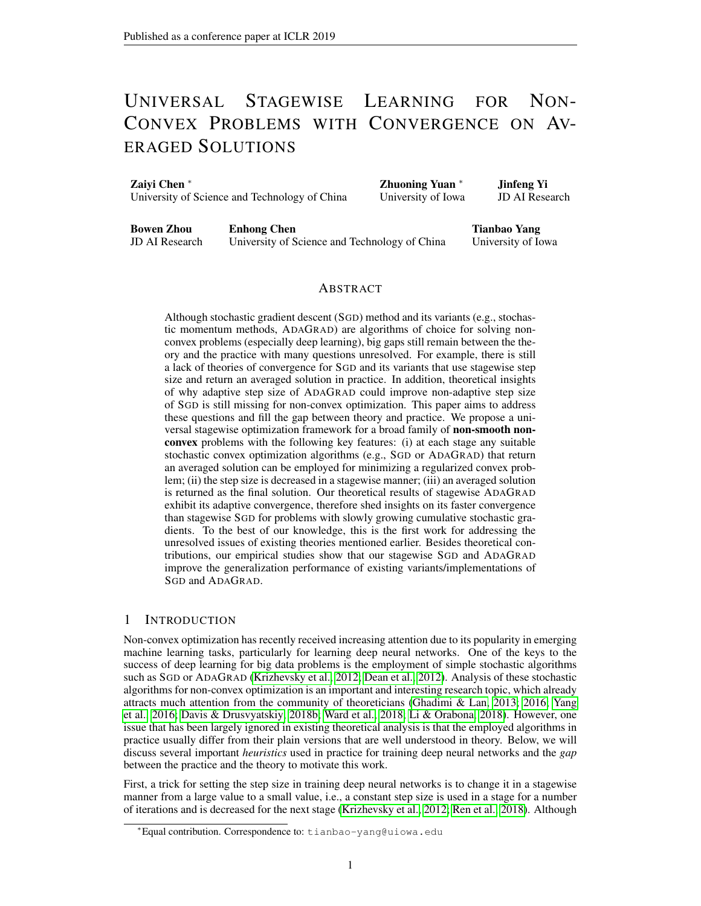Then,

$$
E[kr \quad (\mathbf{x})k^{2}] \quad \frac{32}{P} \frac{w_{S+1}}{s+1} + \frac{48 \frac{P}{s+1} \frac{S+1}{S+1} w_{S}''^{2}(s; T_{S'}))}{s+1} \frac{S+1}{s+1} \frac{w_{S}}{w_{S}}
$$

The standard calculus tells that

$$
\begin{array}{ccc}\n\bigtimes & 1 & S & S \\
S & 0 & X & dx = \frac{1}{1} & S^{-1} \\
\bigtimes & S^{-1} & S S^{-1} = S \quad \text{if} & S^{-1} \\
\bigtimes & S^{-1} & S S^{-1} = S^{-1} & S^{-1} \\
\bigtimes & S^{-1} & S^{-1} & X^{-1} dx = \frac{S}{1} & S^{-1} \\
\bigtimes & S^{-1} & 0 & S^{-1} & 0\n\end{array}
$$

Combining these facts and the assumption  $\int_3^2(s, 7s)$  c=s, we have that

$$
E[kr \quad (\mathbf{x})k^{2}] \geq \frac{32 ( +1) }{(S+1) } + \frac{48c( +1) }{(S+1) } \qquad 1
$$
  
 
$$
\geq \frac{32 ( +1) }{(S+1) } + \frac{48c( +1) }{(S+1) } \qquad 0 < 1
$$

In order to have  $E[kr \quad (\mathbf{x})k^2]$  <sup>2</sup>, we can set  $S = O(1 - 2)$ . The total number of iterations is

$$
\begin{array}{ccc}\n\bigtimes & \times & \\
\pi_s & 12 & s & 6 & S(S+1) = O(1 = 4) \\
s=1 & & & \\
\end{array}
$$

# C PROOF OF THEOREM [2](#page-6-3)

*Proof.* The proof is almost a duplicate to that of Theorem [1.](#page-5-1) Define  $w_s = s$ . We apply Lemma [1](#page-5-4) to each call of SGD in stagewise SGD,

$$
E[f_S(\mathbf{x}_S) \quad f_S(\mathbf{z}_S)] \quad \frac{k\mathbf{z}_S \quad \mathbf{x}_{S-1}k^2}{\left|\frac{2}{\mathcal{L}_S}f_S\right|\left|\frac{2}{\mathcal{L}_S}\right|} + \frac{s\hat{G}^2}{2};
$$

where  $\hat{G}^2$  is the upper bound of  $E[kg(\mathbf{x})] + -1(\mathbf{x} - \mathbf{x}_{s-1})k^2]$ , which exists and can be set to  $2G^2 + 2^{-2}D^2$  due to the Assumption [1-](#page-4-0)(ii) and the bounded assumption of the domain. Then following the same analysis as that in the proof of Theorem [1,](#page-5-1) we have

$$
E_{s} \frac{(1-s)}{2} kx_{s-1} \t z_{s}k^{2} \t E_{s} (x_{s-1}) \t (x_{s}) + \frac{(\frac{-1}{s} 1)}{2} kx_{s} \t z_{s}k^{2} + E_{s}
$$
  
\n
$$
E (x_{s-1}) (x_{s}) + \frac{(\frac{-1}{s} 1)}{(\frac{-1}{s})} (f_{s}(x_{s}) f_{s}(z_{s})) + E_{s}
$$
  
\n
$$
E (x_{s-1}) (x_{s}) + \frac{\frac{-1}{s}}{(1 - \frac{1}{s})} E_{s}
$$
(12)

Combining the above inequalities, we have that

(1 <sup>s</sup>) 2 ( −1 <sup>s</sup> ) (1 ) <sup>s</sup>T<sup>s</sup> Es[kr (xs−1)k 2 ] E<sup>s</sup> 2<sup>s</sup> + ( −1 <sup>s</sup> ) <sup>s</sup>G^<sup>2</sup> (1 )

Multiplying both sides by  $W<sub>S</sub>$ , we have that

$$
w_{s} \quad (1 \qquad s) \qquad \frac{2(-1)}{(1 \qquad) \ \ s} \frac{1}{s} \quad E_{s}[kr \quad (\mathbf{x}_{s-1})k^{2}] \qquad E_{s} \quad 2w_{s} \quad s + \frac{(-1)}{(1 \qquad)} \ w_{s} \quad s\frac{\hat{G}^{2}}{(1 \qquad)}
$$

By setting  $s = 1=2$  and  $s = 1=(2)$ ,  $T_{s,s} = 12$ , we have

$$
\frac{1}{4}w_{s} \mathbf{E}_{s}[kr \quad (\mathbf{x}_{s-1})k^{2}] \quad \mathbf{E}_{s}[2w_{s} \quad s+3w_{s} \quad s\hat{G}^{2}]
$$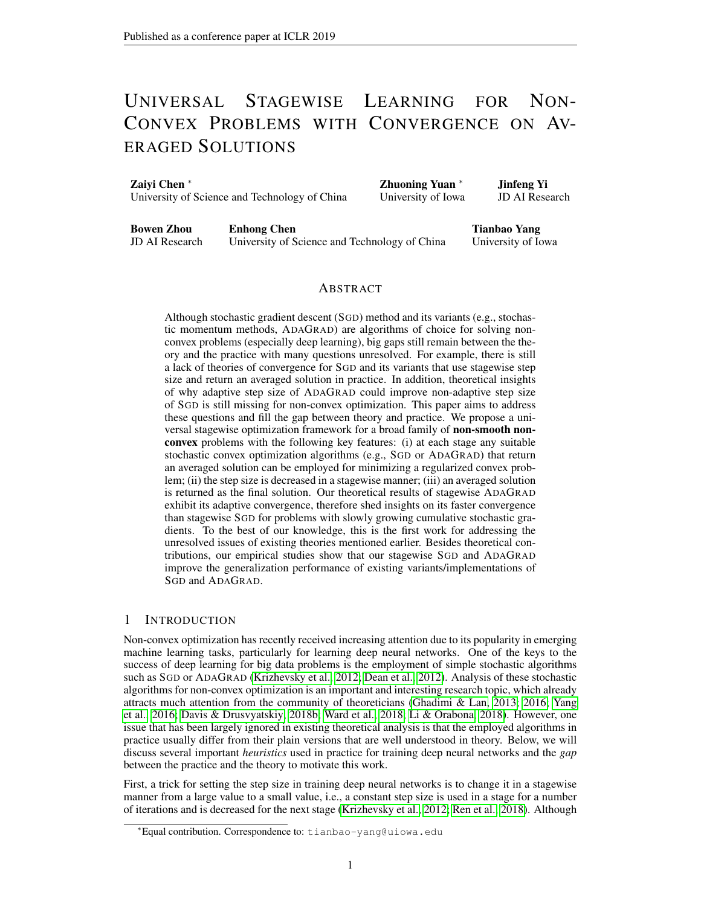By summing over s = 1; : : : ; S + 1, we have

$$
\begin{array}{ccc}\n\mathbf{\hat{x}}^{+1} & \mathbf{\hat{x}}^{+1} & \mathbf{\hat{x}}^{+1} \\
w_{s}E[k\tau & (\mathbf{x}_{s-1})k^{2}] & E & 16 & w_{s} & s+24 & w_{s} & s\hat{G}^{2} \\
s=1 & & s=1 & s=1\n\end{array}
$$

Taking the expectation w.r.t.  $2 f0$ ; :::; Sg, we have that

$$
E[kr \quad (\mathbf{x})k^{2}] \quad E \quad \frac{16 \quad \xrightarrow{S+1} \, W_{S} \quad s}{\sum_{s=1}^{S+1} \, W_{S}} + \frac{24 \quad \xrightarrow{S+1} \, W_{S} \quad s\hat{G}^{2}}{\sum_{s=1}^{S+1} \, W_{S}}
$$

By similar analysis, we have that

$$
E\left[kr \quad (\mathbf{x})k^2\right] \ge \frac{16 \quad (+1)}{5+1} + \frac{24 \quad 6 \quad 6^2 (+1)}{5+1} \qquad 1
$$
\n
$$
\ge \frac{16 \quad (+1)}{5+1} + \frac{24 \quad 6 \quad 6^2 (+1)}{5+1} \quad 0 < 1
$$

In order to have  $E[kr \quad (\mathbf{x})k^2]$  <sup>2</sup>, we can set  $S = O(1 - 2)$ . The total number of iterations is

$$
\begin{array}{lll}\n\mathcal{L} & \mathcal{L} \\
\mathcal{T}_s & 12 & s & 6 & S(S+1) = O(1 = 4) \\
s=1 & & \text{ s = 1}\n\end{array}
$$

 $\Box$ 

### D PROOF OF THEOREM [4](#page-7-1)

We need the following lemma for the convergence bound of stochastic momentum methods for a strongly convex problem, whose proof is postponed to Section [F.](#page-19-0)

<span id="page-17-0"></span>**Lemma 3.** For Algorithm [4,](#page-12-1) assume  $f(x) = (x) + \frac{1}{2}kx$   $x_0k^2$  is a *-strongly convex function*,  $\mathbf{g}_t = \mathbf{g}(\mathbf{x}_t; ) + \frac{1}{2}(\mathbf{x}_t - \mathbf{x}_0)$  where  $\mathbf{g}(\mathbf{x}; ) \geq e_F(\mathbf{x}_t)$  such that  $\mathsf{E}[\mathsf{k}\mathbf{g}(\mathbf{x}; )\mathsf{k}^2]$   $G^2$ , and  $(1)$   $(2)$  =  $(8 + 4)$ *, then we have that* 

$$
\frac{E[f(\mathbf{\hat{x}}_T) - f(\mathbf{x}_*)]}{2(f+1)} + \frac{(f(\mathbf{x}_0) - f(\mathbf{x}_*))}{(1 - ((f+1))} + \frac{2G^2(2 + 1)}{1} + \frac{4 + 4}{(1 -)} -2k\mathbf{x}_0 - \mathbf{x}_*k^2
$$
 (13)  
where  $\mathbf{\hat{x}}_T = \begin{bmatrix} P_T \\ P_{t=0} & \mathbf{x}_t = (1 + T) \text{ and } \mathbf{x}_* \end{bmatrix}$  and  $\mathbf{x}_* \geq \arg\min_{\mathbf{x} \in \mathbb{R}^d} f(\mathbf{x})$ .

Remark: It is notable that in the above result, we do not use the bounded domain assumption since we consider  $=$   $\mathbb{R}^d$  for the unified momentum methods in this subsection. The key to get rid of bounded domain assumption is by exploring the strong convexity of  $f(\mathbf{x}) = (\mathbf{x}) + \frac{1}{2}k\mathbf{x} - \mathbf{x}_0k^2$ .

*Proof.* of Theorem [4](#page-7-1) According to the definition of  $z_s$  in [\(8\)](#page-12-3) and Lemma [3,](#page-17-0) we have that

$$
E_{s} (x_{s}) + \frac{1}{2}kx_{s} x_{s-1}k^{2}
$$
\n
$$
f_{s}(z_{s}) + \frac{(f_{s}(x_{s-1}) f_{s}(z_{s}))}{(1)(T_{s}+1)} + \frac{(1)kx_{s-1} z_{s}k^{2}}{2 s(T_{s}+1)} + \frac{2 sG^{2}(2 + 1)}{1} + \frac{1}{24}kx_{s-1} z_{s}k^{2}
$$
\n
$$
(x_{s-1}) + E_{s};
$$

where the last inequality uses the value of  $s = (1)$  =(96s( + 1))  $(1)$  =(96( + 1)), which also satisfies the condition in Lemma [3](#page-17-0) by noting that  $= -1$  = 1=(2). Similar to the proof of Theorem [1,](#page-5-1) we have

<span id="page-17-1"></span>
$$
\frac{(1-s)}{2}k\mathbf{x}_{s-1} \quad \mathbf{z}_{s}k^{2} \quad \mathsf{E}_{s}[\ (\mathbf{x}_{s-1}) \quad (\mathbf{x}_{s})] + \frac{s^{1}}{(1)} E_{s} \tag{14}
$$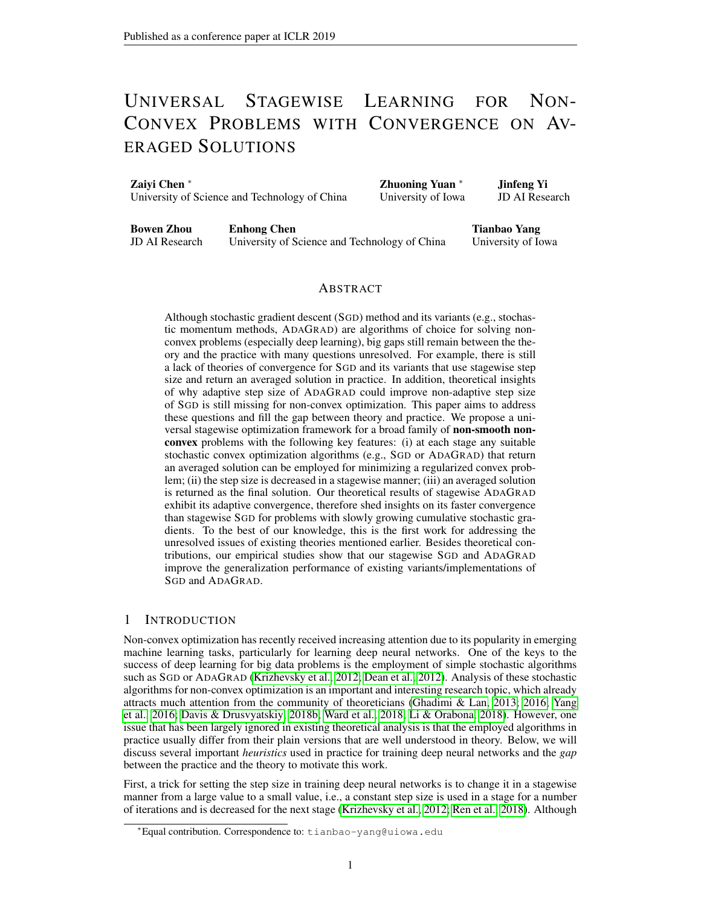Plugging the expression of  $E_s$  and rearranging above inequality, we have that

$$
(1 \quad s) \quad \frac{2(-1)}{(1 \quad s)(T_s+1)} \quad \frac{s^{-1}}{(1 \quad s)(T_s+1)} \quad (1 \quad s) \quad (1 \quad s) \quad (1 \quad s) \quad (1 \quad s) \quad (1 \quad s) \quad (1 \quad s) \quad (1 \quad s) \quad (1 \quad s) \quad (1 \quad s) \quad (1 \quad s) \quad (1 \quad s) \quad (1 \quad s) \quad (1 \quad s) \quad (1 \quad s) \quad (1 \quad s) \quad (1 \quad s) \quad (1 \quad s) \quad (1 \quad s) \quad (1 \quad s) \quad (1 \quad s) \quad (1 \quad s) \quad (1 \quad s) \quad (1 \quad s) \quad (1 \quad s) \quad (1 \quad s) \quad (1 \quad s) \quad (1 \quad s) \quad (1 \quad s) \quad (1 \quad s) \quad (1 \quad s) \quad (1 \quad s) \quad (1 \quad s) \quad (1 \quad s) \quad (1 \quad s) \quad (1 \quad s) \quad (1 \quad s) \quad (1 \quad s) \quad (1 \quad s) \quad (1 \quad s) \quad (1 \quad s) \quad (1 \quad s) \quad (1 \quad s) \quad (1 \quad s) \quad (1 \quad s) \quad (1 \quad s) \quad (1 \quad s) \quad (1 \quad s) \quad (1 \quad s) \quad (1 \quad s) \quad (1 \quad s) \quad (1 \quad s) \quad (1 \quad s) \quad (1 \quad s) \quad (1 \quad s) \quad (1 \quad s) \quad (1 \quad s) \quad (1 \quad s) \quad (1 \quad s) \quad (1 \quad s) \quad (1 \quad s) \quad (1 \quad s) \quad (1 \quad s) \quad (1 \quad s) \quad (1 \quad s) \quad (1 \quad s) \quad (1 \quad s) \quad (1 \quad s) \quad (1 \quad s) \quad (1 \quad s) \quad (1 \quad s) \quad (1 \quad s) \quad (1 \quad s) \quad (1 \quad s) \quad (1 \quad s) \quad (1 \quad s) \quad (1 \quad s) \quad (1 \quad s) \quad (1 \quad s) \quad (1 \quad s) \quad (1 \quad s) \quad (1 \quad s) \quad (1 \quad s) \quad (1 \quad s) \quad (1 \quad s) \quad (1 \quad s) \quad (1 \quad s) \quad (1 \quad s) \quad (1 \quad s) \quad (1 \quad s) \quad (
$$

The definition of  $f_s$  gives that

$$
f_{S}(\mathbf{x}_{S-1}) \quad f_{S}(\mathbf{z}_{S}) = (\mathbf{x}_{S-1}) \quad (\mathbf{z}_{S}) \quad \frac{1}{2} k \mathbf{z}_{S} \quad \mathbf{x}_{S-1} k^{2}
$$

On the other hand, the -weakly convexity of gives that

$$
(\mathbf{z}_s) \qquad (\mathbf{x}_{s-1}) + h\mathbf{g}(\mathbf{x}_{s-1}) / \mathbf{z}_s \quad \mathbf{x}_{s-1} / \quad \frac{1}{2} k \mathbf{z}_s \quad \mathbf{x}_{s-1} k^2 /
$$

where  $g(x_{s-1}) \supseteq e_f(x_{s-1})$ . Combing these two inequalities we have that

$$
f_S(\mathbf{x}_{S-1}) \quad f_S(\mathbf{z}_S) \quad \log(\mathbf{x}_{S-1}) : \mathbf{x}_{S-1} \quad \mathbf{z}_S i \quad \frac{1}{2} k \mathbf{z}_S \quad \mathbf{x}_{S-1} k^2
$$

$$
\frac{G^2}{2} + \frac{1}{2} k \mathbf{z}_S \quad \mathbf{x}_{S-1} k^2 = \frac{G^2}{2}
$$

where the second inequality follows from Jensen's inequality for  $k \times$  and Young's inequality. Combining above inequalities and multiplying both side by  $W<sub>S</sub>$ , we have that

$$
w_{s} \quad (1 \quad s) \quad \frac{2\left(\begin{array}{c} -1 \\ s\end{array}\right)\left(1\right)}{\left(1\right)\left(1\right)\left(1\right)} \quad \frac{-1}{\left(1\right)\left(1\right)} \quad \frac{1}{24} \quad k\Gamma \quad (\mathbf{x}_{s-1})k^{2}
$$
\n
$$
2w_{s}E_{s}[s] + \frac{2w_{s}(\begin{array}{c} -1 \\ s\end{array})}{\left(1\right)} \quad \frac{G^{2}}{2\left(1\right)\left(1/5+1\right)} + \frac{2sG^{2}(2s+1)}{1} \quad (15)
$$

By setting  $s = 1=2$ ,  $s(T_s + 1)$  24(1), we have that

$$
\frac{w_s}{4}kr \quad (\mathbf{x}_{s-1})k^2 \quad 2w_s E_s[s] + \frac{w_s}{4(1 - \gamma^2)} + \frac{12w_s}{1 - \gamma^2} \frac{sG^2(2 + 1)}{1}
$$

Summing over  $s = 1$ ; :::;  $S + 1$  and rearranging, we have

$$
\begin{array}{ll}\n\mathfrak{K}^{+1} & w_{s}k\mathfrak{c} & (\mathbf{x}_{s-1})k^{2} = \mathsf{E} & \frac{\mathfrak{K}^{+1}8}{s-1} \mathfrak{b} & s + \frac{w_{s} \cdot sG^{2}(-18(2s+1)(1s))}{(1 \cdot 2^{2s})} \\
\mathfrak{c} & = 1 & \mathfrak{c} & \frac{\mathfrak{K}^{+1}8}{(1 \cdot 2^{2s})^{2}} \\
\mathfrak{c} & = \mathfrak{c} & \frac{\mathfrak{K}^{+1}8}{(1 \cdot 2^{2s})^{2}} \\
\mathfrak{K}^{+1} & = \mathfrak{K} & \frac{\mathfrak{K}^{+1}8}{(1 \cdot 2^{2s})^{2}} \\
\mathfrak{K}^{+1} & = \mathfrak{K} & \frac{\mathfrak{K}^{+1}8}{(1 \cdot 2^{2s})^{2}} \\
& = \mathfrak{K} & \frac{\mathfrak{K}^{+1}8}{(1 \cdot 2^{2s})^{2}} \\
& = \mathfrak{K} & \frac{\mathfrak{K}^{+1}8}{(1 \cdot 2^{2s})^{2}} \\
& = \mathfrak{K} & \frac{\mathfrak{K}^{+1}8}{(1 \cdot 2^{2s})^{2}} \\
& = \mathfrak{K} & \frac{\mathfrak{K}^{+1}8}{(1 \cdot 2^{2s})^{2}} \\
& = \mathfrak{K} & \frac{\mathfrak{K}^{+1}8}{(1 \cdot 2^{2s})^{2}} \\
& = \mathfrak{K} & \frac{\mathfrak{K}^{+1}8}{(1 \cdot 2^{2s})^{2}} \\
& = \mathfrak{K} & \frac{\mathfrak{K}^{+1}8}{(1 \cdot 2^{2s})^{2}} \\
& = \mathfrak{K} & \frac{\mathfrak{K}^{+1}8}{(1 \cdot 2^{2s})^{2}} \\
& = \mathfrak{K} & \frac{\mathfrak{K}^{+1}8}{(1 \cdot 2^{2s})^{2}} \\
& = \mathfrak{K} & \frac{\mathfrak{K}^{+1}8}{(1 \cdot 2^{2s})^{
$$

Following similar analysis as in the proof of Theorem [2,](#page-6-3) we can finish the proof.

 $\Box$ 

## E PROOF OF THEOREM [3](#page-6-0)

*Proof.* Applying Lemma [2](#page-6-4) with  $T_s$   $M_s$  max  $f \frac{\hat{G} + \max_i ||g_{1:T_s,i}^s||}{2c}$ ;  $C \bigcup_{i=1}^d kg_{1:T_s,i}^s kg M_s > 0$ , and the fact that  $(\mathbf{x}_{s-1})$   $(\mathbf{z}_s) + \frac{1}{2}k\mathbf{x}_{s-1}$   $\mathbf{z}_s k^2$  in sth stage, we have that

$$
E_s \quad (\mathbf{x}_s) + \frac{1}{2s} k \mathbf{x}_s \quad \mathbf{x}_{s-1} k^2 \qquad f_s(\mathbf{z}_s) + \frac{c}{\left|\frac{M_s}{s} s \right|} k \mathbf{x}_{s-1} \quad \mathbf{z}_s k^2 + \frac{s}{\left|\frac{M_s}{s} s \right|}
$$
\n
$$
(\mathbf{x}_s) + E_s
$$

According to [\(14\)](#page-17-1), we have that

$$
\frac{(1-s)}{2}E_{s}[kx_{s-1} \t z_{s}k^{2}] \t (x_{s-1}) \t (x_{s}) + \frac{(-1)}{2}kx_{s} \t z_{s}k^{2} + E_{s}
$$
  

$$
(x_{s-1}) \t (x_{s}) + \frac{-1}{(1)} \frac{C}{M_{s}}kx_{s-1} \t z_{s}k^{2} + \frac{s}{M_{s}C}
$$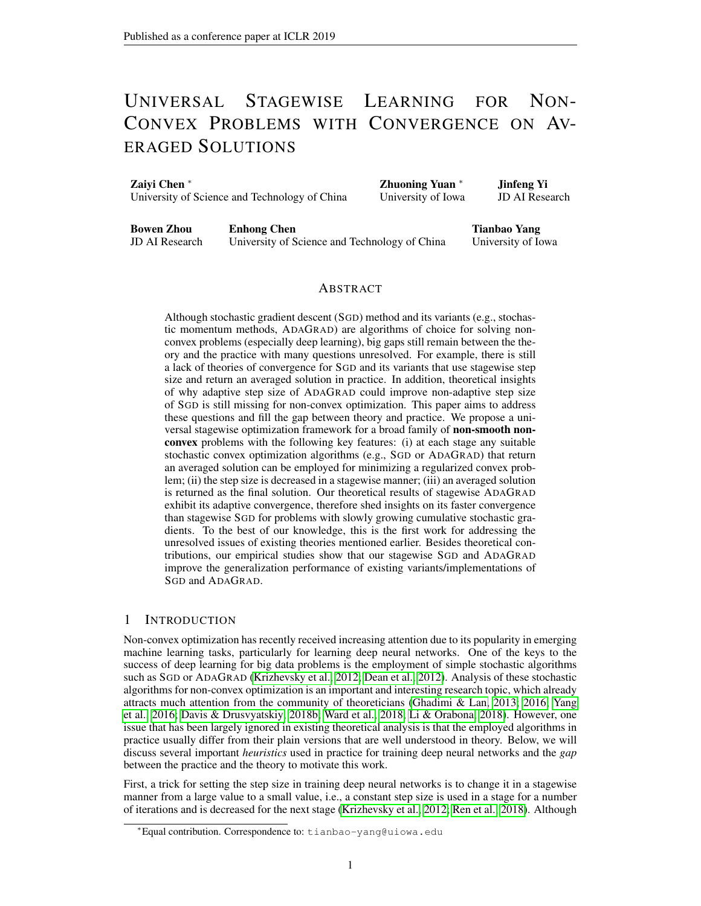Rearranging above inequality then multiplying both side by  $W<sub>S</sub>$ , we have that

$$
w_{s} (1 s) \frac{2^{2}c(\frac{-1}{s})}{(1+1)M_{s} s} k\tau (x_{s-1})k^{2}
$$

$$
2w_{s}E_{s}[s] + \frac{2w_{s} s(\frac{-1}{s})}{cM_{s}(1+1)}
$$

By using  $M_{s,s}$  24 c and summing over  $s = 1$ ; :::;  $S + 1$ , we have that

$$
\begin{array}{ccc}\n\mathbf{\hat{x}}^{+1} & w_{s}k\mathbf{\hat{r}} & (\mathbf{x}_{s-1})k^{2} & \mathbf{E} & \frac{\mathbf{\hat{x}}^{+1}}{s-1} \frac{8w_{s}}{s} \frac{s}{c^{2}} + \frac{w_{s} \frac{2}{s}}{c^{2} \cdot 2}\n\end{array}
$$

By the definition of in the theorem, taking expectation of  $k\tau$  (x ) $k^2$  w.r.t. 2 f0;:::; Sg we have that

$$
E[kr \quad (\mathbf{x})k^2] = E \frac{8}{s+1} \frac{8k^3}{s+1} \frac{W_s}{w_i} + \frac{2}{c^2} \frac{k^4}{s+1} \frac{S^{-1}}{s+1} \frac{S^{-1}}{w_i}
$$

$$
\frac{8}{(S+1)} + \frac{2}{c^2} \frac{2(S+1)}{2(S+1)} \frac{1}{(S+1)}.
$$

where  $|(-\langle 1 \rangle \text{ is } 1 \text{ if } \langle 1 \rangle \text{ and } 0 \text{ otherwise.}$ 

 $\Box$ 

# <span id="page-19-0"></span>F PROOF OF LEMMA [3](#page-17-0)

*Proof.* Following the analysis in [Yang et al.](#page-10-1) [\(2016\)](#page-10-1), we directly have the following inequality,

$$
E[kx_{k+1} + p_{k+1} \quad x_*k^2] =
$$
  
=  $E[kx_k + p_k \quad x_*k^2]$   $\frac{2}{1} - E[(x_k \quad x_*)^\top \text{erf}(x_k)]$   $\frac{2}{(1 - )^2}E[(x_k \quad x_{k-1})^\top \text{erf}(x_k)]$   
 $\frac{2}{(1 - )^2}E[g_{k-1}^\top \text{erf}(x_k)] + \frac{2}{1 - }E[ig_kk^2]$ 

We also note that

$$
f(\mathbf{x}_{k}) \quad f(\mathbf{x}_{*}) \quad (\mathbf{x}_{k} \quad \mathbf{x}_{*})^{\top} \mathcal{Q} f(\mathbf{x}_{k}) \quad \frac{1}{2} k \mathbf{x}_{k} \quad \mathbf{x}_{*} k^{2}
$$
\n
$$
f(\mathbf{x}_{k}) \quad f(\mathbf{x}_{k-1}) \quad (\mathbf{x}_{k} \quad \mathbf{x}_{k-1})^{\top} \mathcal{Q} f(\mathbf{x}_{k}) \quad \frac{1}{2} k \mathbf{x}_{k} \quad \mathbf{x}_{k-1} k^{2}
$$
\n
$$
E[\mathbf{g}_{k-1}^{\top} \mathcal{Q} f(\mathbf{x}_{k})] \quad \frac{E[k(\mathbf{g}_{k-1}k^{2} + k \mathcal{Q} f(\mathbf{x}_{k})k^{2}]}{2} \quad \frac{1}{2} k \mathbf{x}_{k-1} \quad \mathbf{x}_{0} k^{2} + \frac{1}{2} k \mathbf{x}_{k} \quad \mathbf{x}_{0} k^{2} + 2G^{2}
$$
\n
$$
E_{k}[k(\mathbf{g}_{k}k^{2}] \quad \frac{2}{2} k \mathbf{x}_{k} \quad \mathbf{x}_{0} k^{2} + 2G^{2}
$$

where the first two inequalities are due to the strong convexity of  $f()$  and the last three inequalities are due to the boundness assumption. Thus

$$
E[kx_{k+1} + p_{k+1} \quad xk^2] \quad E[kx_k + p_k \quad xk^2] \quad \frac{2}{1} - E[(f(x_k) \quad f(x))]
$$

$$
\frac{2}{(1 - )^2} E[(f(x_k) \quad f(x_{k-1}))] + \frac{2}{1} \quad (2 + 1)4G^2
$$

$$
\frac{2}{1 - kx_k} \quad x_k k^2 \quad \frac{2}{(1 - )^2} kx_k \quad x_{k-1} k^2
$$

$$
+ \frac{2}{(1 - )^2} \frac{2}{-2} kx_{k-1} \quad x_0 k^2 + \frac{2}{(1 - )^2} \frac{2}{-2} kx_k \quad x_0 k^2
$$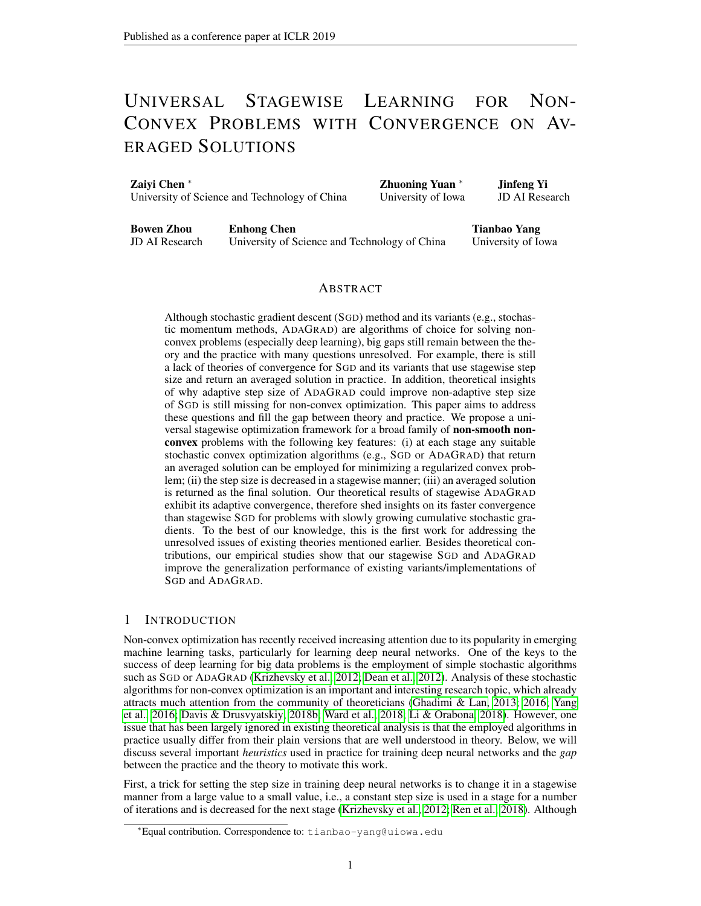By summarizing the above inequality over  $k = 0$ ; :::; T, we have

$$
\frac{2}{1} \qquad \qquad \mathbf{E} \qquad \qquad [\mathbf{f}(\mathbf{x}_{k}) \quad \mathbf{f}(\mathbf{x}_{k})) \qquad \mathbf{E}[k\mathbf{x}_{0} \quad \mathbf{x}_{k}k^{2}] + \frac{2}{(1 - 3)^{2}} \mathbf{E}[\mathbf{f}(\mathbf{x}_{0}) \quad \mathbf{f}(\mathbf{x}_{k})] \\
+ \qquad \qquad + \qquad \frac{2}{1 - 3} (2 + 1) 4 G^{2} (T + 1) \\
\qquad \qquad \frac{1}{1 - k_{0}} \qquad \qquad k\mathbf{x}_{k} \qquad \mathbf{x}_{k}k^{2} + \frac{4}{(1 - 3)^{2}} \frac{2}{2} \qquad \qquad k\mathbf{x}_{k-1} \qquad \mathbf{x}_{k}k^{2} + \frac{4}{(1 - 3)^{2}} \frac{2}{2} \qquad \qquad k\mathbf{x}_{k} \qquad \mathbf{x}_{k}k^{2} \\
+ \frac{4}{(1 - 3)^{2}} \frac{4}{2} (T + 1) k\mathbf{x}_{0} \qquad \mathbf{x}_{k}k^{2}
$$

When  $(1)$   $(2)$  =  $(8 + 4)$ , we have

$$
E (f(\mathbf{x}_{T}) f(\mathbf{x}_{*})) = \frac{(1) k \mathbf{x}_{0} \mathbf{x}_{*} k^{2}}{2 (T + 1)} + \frac{f(\mathbf{x}_{0}) f(\mathbf{x}_{*})}{T + 1} + \frac{1}{T} (2 + 1) 2G^{2} + \frac{4 + 4}{(1)} - 2 k \mathbf{x}_{0} \mathbf{x}_{*} k^{2}
$$

 $\Box$ 

# G PROOF OF LEMMA [2](#page-6-4)

The proof is almost a duplicate of the proof of Proposition 1 in [Chen et al.](#page-9-7) [\(2018b\)](#page-9-7). For completeness, we present a proof here.

*Proof.* Let  $_0(\mathbf{x}) \equiv 0$  and  $k\mathbf{x}k_H =$ p  $\mathbf{x}^{\top}H\mathbf{x}$ . First, we can see that  $t+1(\mathbf{x})$  t(x) for any t 0. Define  $t = \int_{0}^{t} t^2 \cdot d\mathbf{g}_t$  and  $= (\mathscr{E}F(\mathbf{x}_t) - \mathbf{g}_t)^T(\mathbf{x}_t - \mathbf{x})$ . Let  $\int_{0}^{*} t^2 \cdot d\mathbf{g}_t$  be defined by

$$
{}_{t}^{*}(g) = \sup_{\mathbf{x} \in} g^{\top} \mathbf{x} \quad \frac{1}{t} \quad t(\mathbf{x})
$$

Taking the summation of objective gap in all iterations, we have

$$
\begin{array}{ll}\n\mathbf{X} & \mathbf{X} & \mathbf{X} \\
\mathbf{f}(\mathbf{x}_t) & \mathbf{f}(\mathbf{x})) & \mathbf{F}(\mathbf{x}_t)^\top(\mathbf{x}_t) & \mathbf{X} & \mathbf{F} \\
\mathbf{f}(\mathbf{x}_t) & \mathbf{f}(\mathbf{x}_t) & \mathbf{F}(\mathbf{x}_t) & \mathbf{F}(\mathbf{x}_t) & \mathbf{F}(\mathbf{x}_t) & \mathbf{F}(\mathbf{x}_t) \\
\mathbf{f}(\mathbf{x}_t) & \mathbf{F}(\mathbf{x}_t) & \mathbf{F}(\mathbf{x}_t) & \mathbf{F}(\mathbf{x}_t) & \mathbf{F}(\mathbf{x}_t) & \mathbf{F}(\mathbf{x}_t) & \mathbf{F}(\mathbf{x}_t) \\
\mathbf{F}(\mathbf{x}_t) & \mathbf{F}(\mathbf{x}_t) & \mathbf{F}(\mathbf{x}_t) & \mathbf{F}(\mathbf{x}_t) & \mathbf{F}(\mathbf{x}_t) & \mathbf{F}(\mathbf{x}_t) & \mathbf{F}(\mathbf{x}_t) \\
\mathbf{F}(\mathbf{x}_t) & \mathbf{F}(\mathbf{x}_t) & \mathbf{F}(\mathbf{x}_t) & \mathbf{F}(\mathbf{x}_t) & \mathbf{F}(\mathbf{x}_t) & \mathbf{F}(\mathbf{x}_t) & \mathbf{F}(\mathbf{x}_t) \\
\mathbf{F}(\mathbf{x}_t) & \mathbf{F}(\mathbf{x}_t) & \mathbf{F}(\mathbf{x}_t) & \mathbf{F}(\mathbf{x}_t) & \mathbf{F}(\mathbf{x}_t) & \mathbf{F}(\mathbf{x}_t) & \mathbf{F}(\mathbf{x}_t) \\
\mathbf{F}(\mathbf{x}_t) & \mathbf{F}(\mathbf{x}_t) & \mathbf{F}(\mathbf{x}_t) & \mathbf{F}(\mathbf{x}_t) & \mathbf{F}(\mathbf{x}_t) & \mathbf{F}(\mathbf{x}_t) & \mathbf{F}(\mathbf{x}_t) & \mathbf{F}(\mathbf{x}_t) & \mathbf{F}(\mathbf{x}_t) & \mathbf{F}(\mathbf{x}_t) & \mathbf{F}(\mathbf{x}_t) & \mathbf{F}(\mathbf{x}_t) & \mathbf{F}(\mathbf{x}_t) & \mathbf{F}(\mathbf{x
$$

Note that

$$
\begin{aligned}\n^*_{\mathcal{T}}(\tau) &= \begin{array}{c} \mathcal{K} \\ \mathbf{g}_t^\top \mathbf{x}_{\mathcal{T}+1} & \frac{1}{\tau} (\mathbf{x}_{\mathcal{T}+1}) \end{array} \begin{array}{c} \mathcal{K} \\ \mathbf{g}_t^\top \mathbf{x}_{\mathcal{T}+1} & \frac{1}{\tau} \\ \mathbf{g}_t^\top \mathbf{x}_{\mathcal{T}+1} & \frac{1}{\tau} \\ \mathbf{g}_t^\top \mathbf{x}_{\mathcal{T}+1} & \frac{1}{\tau} \\ \mathbf{g}_t^\top \mathbf{x}_{\mathcal{T}+1} & \frac{1}{\tau} \end{array} \\
\text{sup} \quad \frac{1}{\tau} \mathbf{x} \begin{array}{c} \frac{1}{\tau} \\ \mathbf{g}_t^\top \mathbf{x}_{\mathcal{T}+1} & \frac{1}{\tau} \\ \mathbf{g}_t^\top \mathbf{g}_{\mathcal{T}} & \frac{1}{\tau} \end{array} \\
^*_{\mathcal{T}+1}(\tau_{-1}) \quad \mathbf{g}_t^\top \mathbf{g}_{\mathcal{T}} \begin{array}{c} \mathbf{g}_t^\top \mathbf{g}_{\mathcal{T}+1} & \frac{1}{\tau} \end{array} \\
^*_{\mathcal{T}+1}(\tau_{-1}) \quad \mathbf{g}_t^\top \mathbf{g}_{\mathcal{T}} \begin{array}{c} \mathbf{g}_t^\top \mathbf{g}_{\mathcal{T}+1} & \frac{1}{\tau} \end{array} \\
^*_{\mathcal{T}+1}(\tau_{-1}) \quad \mathbf{g}_t^\top \mathbf{g}_{\mathcal{T}} \begin{array}{c} \mathbf{g}_t^\top \mathbf{g}_{\mathcal{T}+1} & \frac{1}{\tau} \end{array} \\
^*_{\mathcal{T}+1}(\tau_{-1}) \quad \mathbf{g}_t^\top \mathbf{g}_{\mathcal{T}} \begin{array}{c} \mathbf{g}_t^\top \mathbf{g}_{\mathcal{T}+1} & \frac{1}{\tau} \end{array} \\
^*_{\mathcal{T}+1}(\tau_{-1}) \quad \mathbf{g}_t^\top \mathbf{g}_{\mathcal{T}} \begin{array}{c} \mathbf{g}_t^\top \mathbf{g}_{\mathcal{T}+1
$$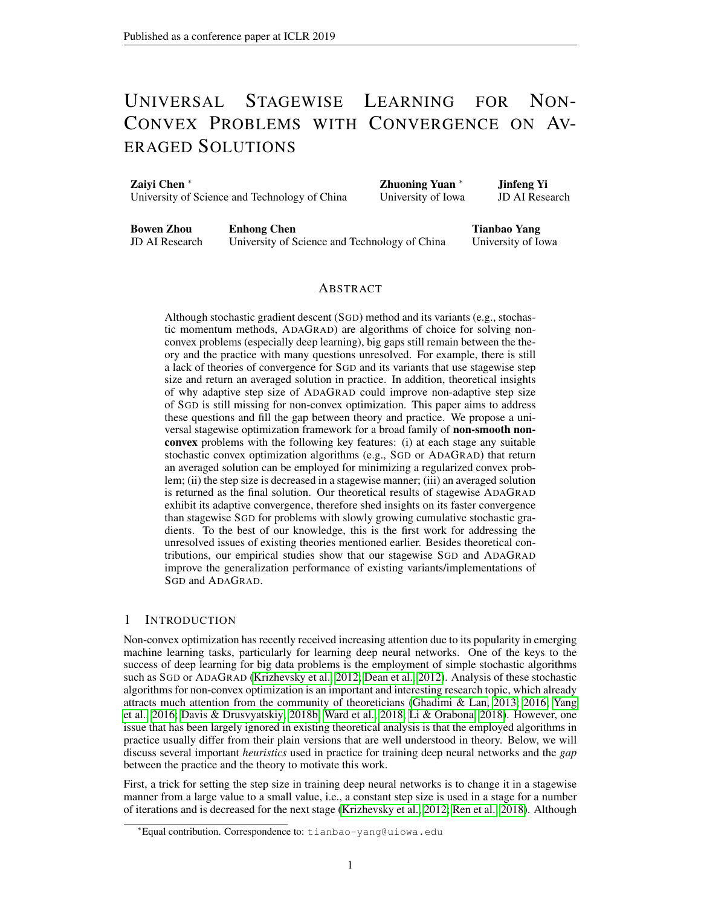where the last inequality uses the fact that  $t(x)$  is 1-strongly convex w.r.t  $k \mid k \neq k$   $k \mid H_t$  and consequentially  $\oint_t^s(\mathbf{x})$  is -smooth wr.t.  $k \mid k \neq i$  =  $k \mid k \neq i$ . Thus, we have

$$
\begin{array}{ll}\n\mathbf{X} & \mathbf{X} \\
\mathbf{g}_t^{\top} \mathbf{x}_t + \frac{*}{T} (\tau) & \mathbf{g}_t^{\top} \mathbf{x}_t + \frac{*}{T-1} (\tau - 1) & \mathbf{g}_T^{\top} \tau - \frac{*}{T-1} (\tau - 1) + \frac{1}{2} k \mathbf{g}_T k^2 \\
\mathbf{K}^{-1} & \mathbf{g}_t^{\top} \mathbf{x}_t + \frac{*}{T-1} (\tau - 1) + \frac{1}{2} k \mathbf{g}_T k^2 \\
\mathbf{g}_t^{\top} & \mathbf{g}_t^{\top} \mathbf{x}_t + \frac{*}{T-1} (\tau - 1) + \frac{1}{2} k \mathbf{g}_T k^2 \\
\mathbf{g}_t^{\top} & \mathbf{g}_t^{\top} \mathbf{x}_t + \frac{1}{2} k^2 \mathbf{g}_T k^2\n\end{array}
$$

By repeating this process, we have

$$
\begin{array}{ccc}\n\bigtimes & \mathbf{g}_t^{\top} \mathbf{x}_t + \frac{*}{T}(-T) & \delta(-0) + \frac{\lambda}{2} \int_{t=1}^{T} k \mathbf{g}_t k^2 \Big|_{t=1}^{T} = \frac{\lambda}{2} \int_{t=1}^{T} k \mathbf{g}_t k^2 \Big|_{t=1}^{T}.\n\end{array}
$$

Then

$$
\begin{array}{ccc}\n\big\times^{T} & (f(\mathbf{x}_{t}) - f(\mathbf{x})) & \frac{1}{2} - \tau(\mathbf{x}) + \frac{\sqrt{t}}{2} \kappa \mathbf{g}_{t} k^{2} + \tau^{2} & t \\
\hline\n\vdots & \ddots & \ddots & \ddots \\
\mathbf{g}_{t-1} & \mathbf{g}_{t} & \mathbf{g}_{t} & \ddots & \ddots\n\end{array}\n\tag{16}
$$

Following the analysis in [Duchi et al.](#page-9-6) [\(2011\)](#page-9-6), we have

$$
\begin{array}{ccc}\n\bigtimes & & \searrow & \\
k\mathbf{g}_t k^2 & 2 & k\mathbf{g}_{1:T,t} k_2 \\
t=1 & & t=1\n\end{array}
$$

Thus

$$
\frac{X}{t=1} (f(\mathbf{x}_{t}) - f(\mathbf{x})) = \frac{Gk\mathbf{x} - \mathbf{x}_{1}k_{2}^{2}}{2} + \frac{(\mathbf{x} - \mathbf{x}_{1})^{T} \text{diag}(s_{T})(\mathbf{x} - \mathbf{x}_{1})}{2} + \frac{X^{d}}{k\mathbf{g}_{1:T;i}k_{2} + \sum_{t=1}^{T} t_{t}k_{2}}{2} + \frac{X^{d}}{2} \times \mathbf{x} - \mathbf{x}_{1}k_{2}^{2} + \frac{X^{d}}{k\mathbf{g}_{1:T;i}k_{2} + \sum_{t=1}^{T} t_{t}k_{2}}{2C} + \sum_{t=1}^{T} t_{t}k_{2}k_{3}k_{4}k_{5}k_{6}.
$$
\nNow by the value of  $T = M \max_{t} \frac{(G + \max_{t} | g_{1:T;i}) \cdot \sum_{i=1}^{T} k g_{1:T;i}k_{i}}{2T} \times \frac{C}{M}$ .

\n
$$
\frac{G + \max_{t} k g_{1:T;i}k_{2}}{T} = \frac{C}{M}
$$

Dividing by T on both sides and setting  $x = x_{\ast}$ , following the inequality (3) and the convexity of  $f(\mathbf{x})$  we have

$$
f(\mathbf{k}) \quad f_* \quad \frac{c}{M} k \mathbf{x}_0 \quad \mathbf{x}_* k^2 + \frac{1}{Mc} + \frac{1}{T} \quad t
$$

Let  $fF_t g$  be the filtration associated with Algorithm 1 in the paper. Noticing that  $T$  is a random variable with respect to  $f_{f}g$ , we cannot get rid of the last term directly. Define the Sequence  $fX_t g_{t \in N_+}$  as

$$
X_t = \frac{1}{t} \sum_{i=1}^{t} i = \frac{1}{t} \sum_{j=1}^{t} h \mathbf{g}_i \quad \mathbb{E}[\mathbf{g}_i] / \mathbf{x}_i \quad \mathbf{x}_* \tag{17}
$$

where  $E[g_i] \supseteq \mathcal{Q}f(\mathbf{x}_i)$ . Since  $E[g_{t+1} \quad E[g_{t+1}]] = 0$  and  $\mathbf{x}_{t+1} = \arg\min_{\mathbf{x} \in \mathcal{Q}} \mathbf{x}^\top \frac{1}{t} \begin{bmatrix} t \\ t \end{bmatrix} = 1$   $\mathbf{g} \quad +$ 

 $\frac{1}{t}$   $t(x)$ , which is measurable with respect to  $g_1$ ; ::: ;  $g_t$  and  $x_1$ ; ::: ;  $x_t$ , it is easy to see f  $tg_{t\in\mathbb{N}}$ is a martingale difference sequence with respect to  $fF_t g$ , e.g. E[ $t$  $fF_{t-1}$ ] = 0. On the other hand, since  $k\mathbf{g}_t k_2$  is upper bounded by G, following the statement of T in the theorem,  $T \sim N =$  $M^2$  max  $f \frac{(G+1)^2}{4}$  $\frac{4+1}{3}$ ;  $\frac{d^2}{d^2}$   $\frac{d^2}{d^2}$  < 1 always holds. Then following Lemma 1 in [\(Chen et al., 2018b\)](#page-9-7) we have that  $E[\vec{X}_T] = 0$ .

Now taking the expectation we have that

$$
E[f(\mathbf{k}) \quad f_*] \quad \frac{c}{M} k \mathbf{x}_0 \quad \mathbf{x}_* k^2 + \frac{c}{M}
$$

Then we finish the proof.